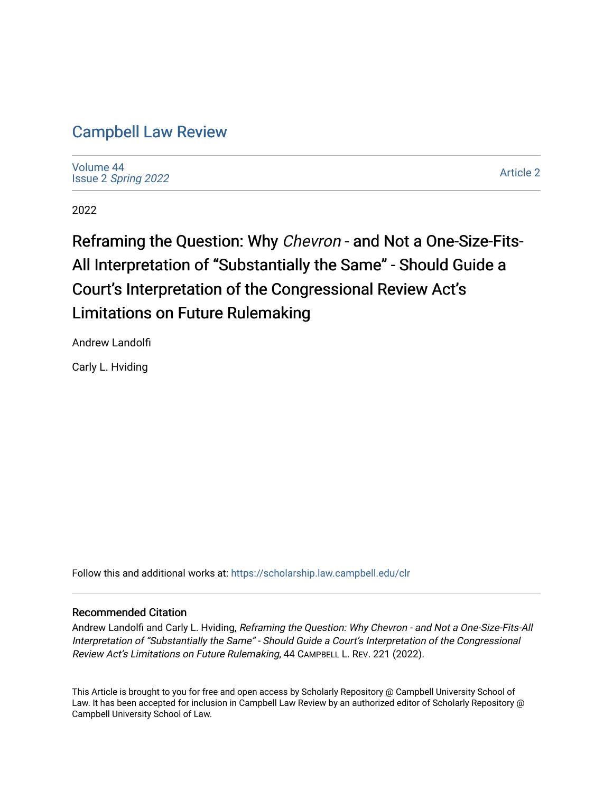# [Campbell Law Review](https://scholarship.law.campbell.edu/clr)

[Volume 44](https://scholarship.law.campbell.edu/clr/vol44) Issue 2 [Spring 2022](https://scholarship.law.campbell.edu/clr/vol44/iss2) 

[Article 2](https://scholarship.law.campbell.edu/clr/vol44/iss2/2) 

2022

# Reframing the Question: Why Chevron - and Not a One-Size-Fits-All Interpretation of "Substantially the Same" - Should Guide a Court's Interpretation of the Congressional Review Act's Limitations on Future Rulemaking

Andrew Landolfi

Carly L. Hviding

Follow this and additional works at: [https://scholarship.law.campbell.edu/clr](https://scholarship.law.campbell.edu/clr?utm_source=scholarship.law.campbell.edu%2Fclr%2Fvol44%2Fiss2%2F2&utm_medium=PDF&utm_campaign=PDFCoverPages) 

# Recommended Citation

Andrew Landolfi and Carly L. Hviding, Reframing the Question: Why Chevron - and Not a One-Size-Fits-All Interpretation of "Substantially the Same" - Should Guide a Court's Interpretation of the Congressional Review Act's Limitations on Future Rulemaking, 44 CAMPBELL L. REV. 221 (2022).

This Article is brought to you for free and open access by Scholarly Repository @ Campbell University School of Law. It has been accepted for inclusion in Campbell Law Review by an authorized editor of Scholarly Repository @ Campbell University School of Law.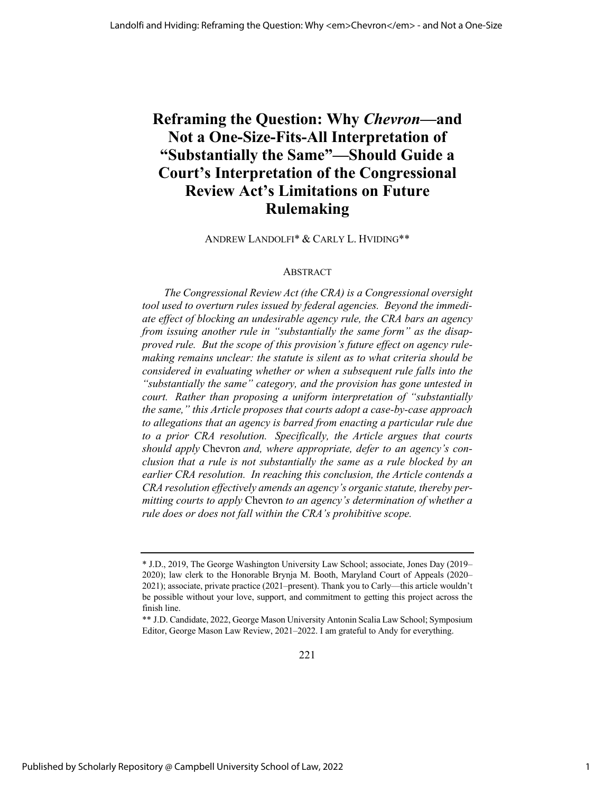# **Reframing the Question: Why** *Chevron***—and Not a One-Size-Fits-All Interpretation of "Substantially the Same"—Should Guide a Court's Interpretation of the Congressional Review Act's Limitations on Future Rulemaking**

ANDREW LANDOLFI\* & CARLY L. HVIDING\*\*

### ABSTRACT

*The Congressional Review Act (the CRA) is a Congressional oversight tool used to overturn rules issued by federal agencies. Beyond the immediate effect of blocking an undesirable agency rule, the CRA bars an agency from issuing another rule in "substantially the same form" as the disapproved rule. But the scope of this provision's future effect on agency rulemaking remains unclear: the statute is silent as to what criteria should be considered in evaluating whether or when a subsequent rule falls into the "substantially the same" category, and the provision has gone untested in court. Rather than proposing a uniform interpretation of "substantially the same," this Article proposes that courts adopt a case-by-case approach to allegations that an agency is barred from enacting a particular rule due to a prior CRA resolution. Specifically, the Article argues that courts should apply* Chevron *and, where appropriate, defer to an agency's conclusion that a rule is not substantially the same as a rule blocked by an earlier CRA resolution. In reaching this conclusion, the Article contends a CRA resolution effectively amends an agency's organic statute, thereby permitting courts to apply* Chevron *to an agency's determination of whether a rule does or does not fall within the CRA's prohibitive scope.*

<sup>\*</sup> J.D., 2019, The George Washington University Law School; associate, Jones Day (2019– 2020); law clerk to the Honorable Brynja M. Booth, Maryland Court of Appeals (2020– 2021); associate, private practice (2021–present). Thank you to Carly—this article wouldn't be possible without your love, support, and commitment to getting this project across the finish line.

<sup>\*\*</sup> J.D. Candidate, 2022, George Mason University Antonin Scalia Law School; Symposium Editor, George Mason Law Review, 2021–2022. I am grateful to Andy for everything.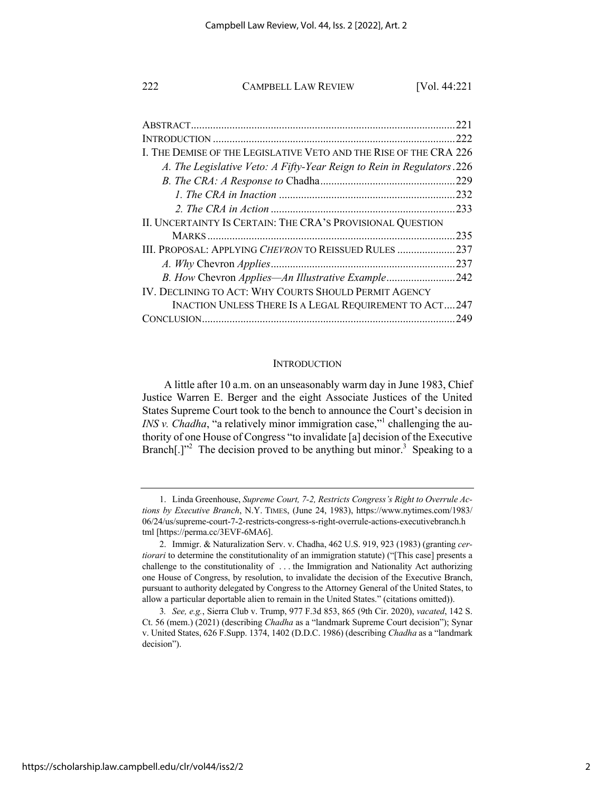|                                                                        | 221  |
|------------------------------------------------------------------------|------|
|                                                                        | 222  |
| I. THE DEMISE OF THE LEGISLATIVE VETO AND THE RISE OF THE CRA 226      |      |
| A. The Legislative Veto: A Fifty-Year Reign to Rein in Regulators. 226 |      |
|                                                                        |      |
|                                                                        |      |
|                                                                        |      |
| II. UNCERTAINTY IS CERTAIN: THE CRA'S PROVISIONAL QUESTION             |      |
|                                                                        | .235 |
| III. PROPOSAL: APPLYING CHEVRON TO REISSUED RULES 237                  |      |
|                                                                        |      |
| B. How Chevron Applies—An Illustrative Example242                      |      |
| IV. DECLINING TO ACT: WHY COURTS SHOULD PERMIT AGENCY                  |      |
| <b>INACTION UNLESS THERE IS A LEGAL REQUIREMENT TO ACT247</b>          |      |
|                                                                        | .249 |

#### **INTRODUCTION**

A little after 10 a.m. on an unseasonably warm day in June 1983, Chief Justice Warren E. Berger and the eight Associate Justices of the United States Supreme Court took to the bench to announce the Court's decision in *INS v. Chadha*, "a relatively minor immigration case,"<sup>1</sup> challenging the authority of one House of Congress "to invalidate [a] decision of the Executive Branch[.]"<sup>2</sup> The decision proved to be anything but minor.<sup>3</sup> Speaking to a

<sup>1.</sup> Linda Greenhouse, *Supreme Court, 7-2, Restricts Congress's Right to Overrule Actions by Executive Branch*, N.Y. TIMES, (June 24, 1983), https://www.nytimes.com/1983/ 06/24/us/supreme-court-7-2-restricts-congress-s-right-overrule-actions-executivebranch.h tml [https://perma.cc/3EVF-6MA6].

<sup>2.</sup> Immigr. & Naturalization Serv. v. Chadha, 462 U.S. 919, 923 (1983) (granting *certiorari* to determine the constitutionality of an immigration statute) ("[This case] presents a challenge to the constitutionality of . . . the Immigration and Nationality Act authorizing one House of Congress, by resolution, to invalidate the decision of the Executive Branch, pursuant to authority delegated by Congress to the Attorney General of the United States, to allow a particular deportable alien to remain in the United States." (citations omitted)).

<sup>3</sup>*. See, e.g.*, Sierra Club v. Trump, 977 F.3d 853, 865 (9th Cir. 2020), *vacated*, 142 S. Ct. 56 (mem.) (2021) (describing *Chadha* as a "landmark Supreme Court decision"); Synar v. United States, 626 F.Supp. 1374, 1402 (D.D.C. 1986) (describing *Chadha* as a "landmark decision").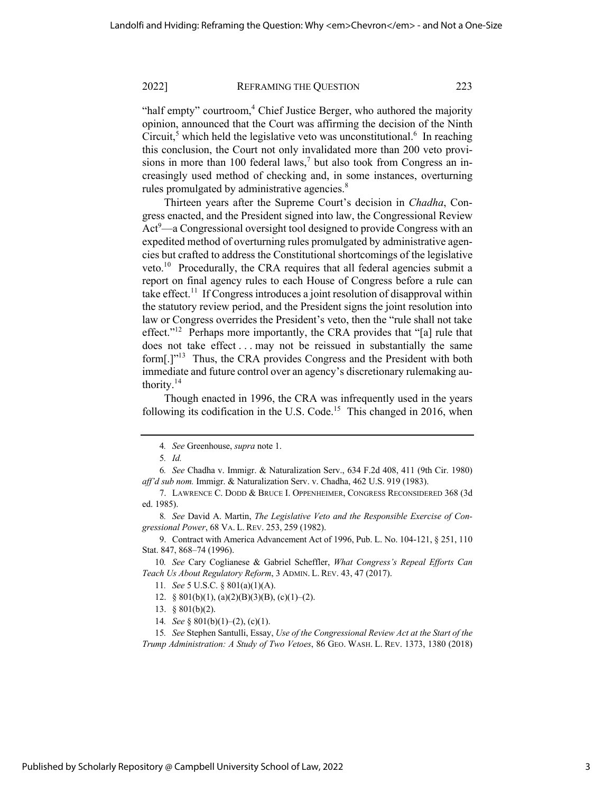"half empty" courtroom, $4$  Chief Justice Berger, who authored the majority opinion, announced that the Court was affirming the decision of the Ninth Circuit,<sup>5</sup> which held the legislative veto was unconstitutional.<sup>6</sup> In reaching this conclusion, the Court not only invalidated more than 200 veto provisions in more than 100 federal laws,<sup>7</sup> but also took from Congress an increasingly used method of checking and, in some instances, overturning rules promulgated by administrative agencies.<sup>8</sup>

Thirteen years after the Supreme Court's decision in *Chadha*, Congress enacted, and the President signed into law, the Congressional Review Act<sup>9</sup>—a Congressional oversight tool designed to provide Congress with an expedited method of overturning rules promulgated by administrative agencies but crafted to address the Constitutional shortcomings of the legislative veto.<sup>10</sup> Procedurally, the CRA requires that all federal agencies submit a report on final agency rules to each House of Congress before a rule can take effect.<sup>11</sup> If Congress introduces a joint resolution of disapproval within the statutory review period, and the President signs the joint resolution into law or Congress overrides the President's veto, then the "rule shall not take effect."<sup>12</sup> Perhaps more importantly, the CRA provides that "[a] rule that does not take effect . . . may not be reissued in substantially the same form<sup>[.]"13</sup> Thus, the CRA provides Congress and the President with both immediate and future control over an agency's discretionary rulemaking authority. $14$ 

Though enacted in 1996, the CRA was infrequently used in the years following its codification in the U.S. Code.<sup>15</sup> This changed in 2016, when

9. Contract with America Advancement Act of 1996, Pub. L. No. 104-121, § 251, 110 Stat. 847, 868–74 (1996).

10*. See* Cary Coglianese & Gabriel Scheffler, *What Congress's Repeal Efforts Can Teach Us About Regulatory Reform*, 3 ADMIN. L. REV. 43, 47 (2017).

- 12. § 801(b)(1), (a)(2)(B)(3)(B), (c)(1)–(2).
- 13. § 801(b)(2).
- 14*. See* § 801(b)(1)–(2), (c)(1).

15*. See* Stephen Santulli, Essay, *Use of the Congressional Review Act at the Start of the Trump Administration: A Study of Two Vetoes*, 86 GEO. WASH. L. REV. 1373, 1380 (2018)

<sup>4</sup>*. See* Greenhouse, *supra* note 1.

<sup>5</sup>*. Id.* 

<sup>6</sup>*. See* Chadha v. Immigr. & Naturalization Serv., 634 F.2d 408, 411 (9th Cir. 1980) *aff'd sub nom.* Immigr. & Naturalization Serv. v. Chadha, 462 U.S. 919 (1983).

<sup>7.</sup> LAWRENCE C. DODD & BRUCE I. OPPENHEIMER, CONGRESS RECONSIDERED 368 (3d ed. 1985).

<sup>8</sup>*. See* David A. Martin, *The Legislative Veto and the Responsible Exercise of Congressional Power*, 68 VA. L. REV. 253, 259 (1982).

<sup>11</sup>*. See* 5 U.S.C. § 801(a)(1)(A).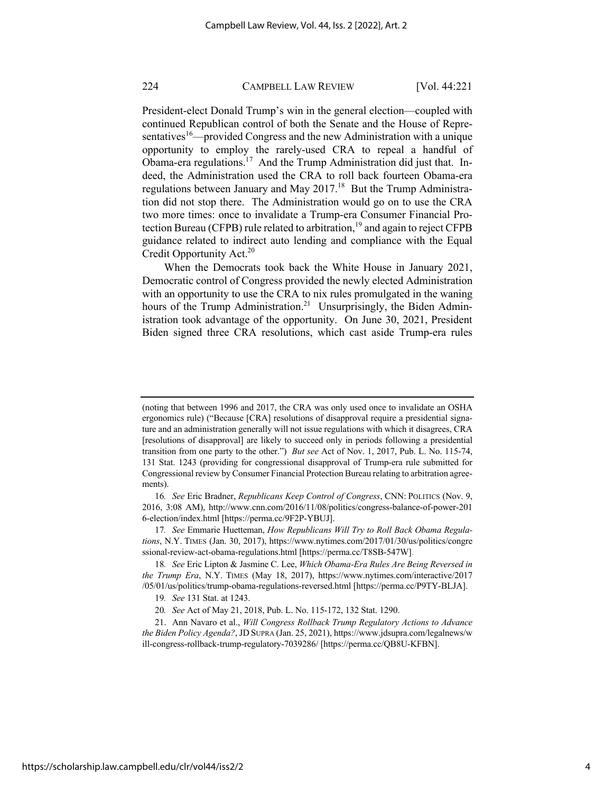President-elect Donald Trump's win in the general election—coupled with continued Republican control of both the Senate and the House of Representatives<sup>16</sup>—provided Congress and the new Administration with a unique opportunity to employ the rarely-used CRA to repeal a handful of Obama-era regulations.<sup>17</sup> And the Trump Administration did just that. Indeed, the Administration used the CRA to roll back fourteen Obama-era regulations between January and May  $2017<sup>18</sup>$  But the Trump Administration did not stop there. The Administration would go on to use the CRA two more times: once to invalidate a Trump-era Consumer Financial Protection Bureau (CFPB) rule related to arbitration,<sup>19</sup> and again to reject CFPB guidance related to indirect auto lending and compliance with the Equal Credit Opportunity Act.<sup>20</sup>

When the Democrats took back the White House in January 2021, Democratic control of Congress provided the newly elected Administration with an opportunity to use the CRA to nix rules promulgated in the waning hours of the Trump Administration.<sup>21</sup> Unsurprisingly, the Biden Administration took advantage of the opportunity. On June 30, 2021, President Biden signed three CRA resolutions, which cast aside Trump-era rules

<sup>(</sup>noting that between 1996 and 2017, the CRA was only used once to invalidate an OSHA ergonomics rule) ("Because [CRA] resolutions of disapproval require a presidential signature and an administration generally will not issue regulations with which it disagrees, CRA [resolutions of disapproval] are likely to succeed only in periods following a presidential transition from one party to the other.") *But see* Act of Nov. 1, 2017, Pub. L. No. 115-74, 131 Stat. 1243 (providing for congressional disapproval of Trump-era rule submitted for Congressional review by Consumer Financial Protection Bureau relating to arbitration agreements).

<sup>16</sup>*. See* Eric Bradner, *Republicans Keep Control of Congress*, CNN: POLITICS (Nov. 9, 2016, 3:08 AM), http://www.cnn.com/2016/11/08/politics/congress-balance-of-power-201 6-election/index.html [https://perma.cc/9F2P-YBUJ].

<sup>17</sup>*. See* Emmarie Huetteman, *How Republicans Will Try to Roll Back Obama Regulations*, N.Y. TIMES (Jan. 30, 2017), https://www.nytimes.com/2017/01/30/us/politics/congre ssional-review-act-obama-regulations.html [https://perma.cc/T8SB-547W].

<sup>18</sup>*. See* Eric Lipton & Jasmine C. Lee, *Which Obama-Era Rules Are Being Reversed in the Trump Era*, N.Y. TIMES (May 18, 2017), https://www.nytimes.com/interactive/2017 /05/01/us/politics/trump-obama-regulations-reversed.html [https://perma.cc/P9TY-BLJA].

<sup>19</sup>*. See* 131 Stat. at 1243.

<sup>20</sup>*. See* Act of May 21, 2018, Pub. L. No. 115-172, 132 Stat. 1290.

<sup>21.</sup> Ann Navaro et al., *Will Congress Rollback Trump Regulatory Actions to Advance the Biden Policy Agenda?*, JD SUPRA (Jan. 25, 2021), https://www.jdsupra.com/legalnews/w ill-congress-rollback-trump-regulatory-7039286/ [https://perma.cc/QB8U-KFBN].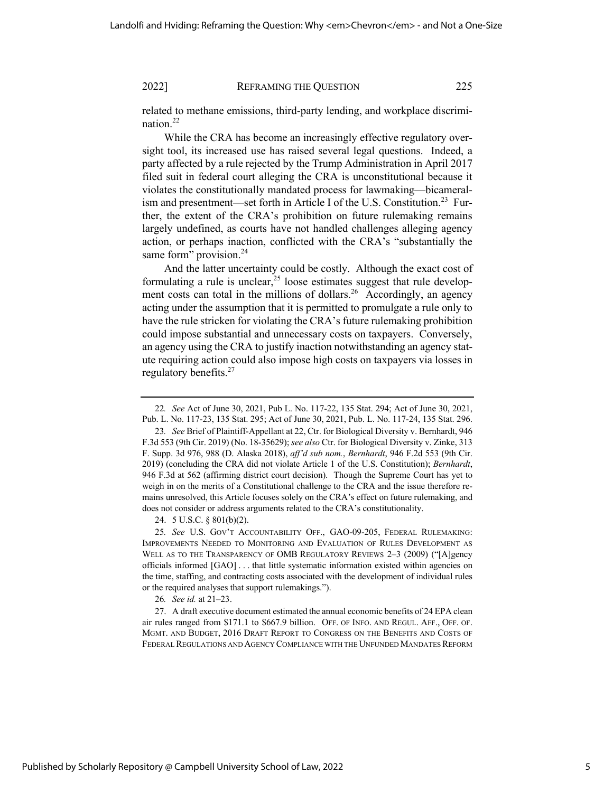related to methane emissions, third-party lending, and workplace discrimination.22

While the CRA has become an increasingly effective regulatory oversight tool, its increased use has raised several legal questions. Indeed, a party affected by a rule rejected by the Trump Administration in April 2017 filed suit in federal court alleging the CRA is unconstitutional because it violates the constitutionally mandated process for lawmaking—bicameralism and presentment—set forth in Article I of the U.S. Constitution.<sup>23</sup> Further, the extent of the CRA's prohibition on future rulemaking remains largely undefined, as courts have not handled challenges alleging agency action, or perhaps inaction, conflicted with the CRA's "substantially the same form" provision.<sup>24</sup>

And the latter uncertainty could be costly. Although the exact cost of formulating a rule is unclear,  $25$  loose estimates suggest that rule development costs can total in the millions of dollars.<sup>26</sup> Accordingly, an agency acting under the assumption that it is permitted to promulgate a rule only to have the rule stricken for violating the CRA's future rulemaking prohibition could impose substantial and unnecessary costs on taxpayers. Conversely, an agency using the CRA to justify inaction notwithstanding an agency statute requiring action could also impose high costs on taxpayers via losses in regulatory benefits. $27$ 

24. 5 U.S.C. § 801(b)(2).

25*. See* U.S. GOV'T ACCOUNTABILITY OFF., GAO-09-205, FEDERAL RULEMAKING: IMPROVEMENTS NEEDED TO MONITORING AND EVALUATION OF RULES DEVELOPMENT AS WELL AS TO THE TRANSPARENCY OF OMB REGULATORY REVIEWS 2-3 (2009) ("[A]gency officials informed [GAO] . . . that little systematic information existed within agencies on the time, staffing, and contracting costs associated with the development of individual rules or the required analyses that support rulemakings.").

26*. See id.* at 21–23.

27. A draft executive document estimated the annual economic benefits of 24 EPA clean air rules ranged from \$171.1 to \$667.9 billion. OFF. OF INFO. AND REGUL. AFF., OFF. OF. MGMT. AND BUDGET, 2016 DRAFT REPORT TO CONGRESS ON THE BENEFITS AND COSTS OF FEDERAL REGULATIONS AND AGENCY COMPLIANCE WITH THE UNFUNDED MANDATES REFORM

<sup>22</sup>*. See* Act of June 30, 2021, Pub L. No. 117-22, 135 Stat. 294; Act of June 30, 2021, Pub. L. No. 117-23, 135 Stat. 295; Act of June 30, 2021, Pub. L. No. 117-24, 135 Stat. 296.

<sup>23</sup>*. See* Brief of Plaintiff-Appellant at 22, Ctr. for Biological Diversity v. Bernhardt, 946 F.3d 553 (9th Cir. 2019) (No. 18-35629); *see also* Ctr. for Biological Diversity v. Zinke, 313 F. Supp. 3d 976, 988 (D. Alaska 2018), *aff'd sub nom.*, *Bernhardt*, 946 F.2d 553 (9th Cir. 2019) (concluding the CRA did not violate Article 1 of the U.S. Constitution); *Bernhardt*, 946 F.3d at 562 (affirming district court decision). Though the Supreme Court has yet to weigh in on the merits of a Constitutional challenge to the CRA and the issue therefore remains unresolved, this Article focuses solely on the CRA's effect on future rulemaking, and does not consider or address arguments related to the CRA's constitutionality.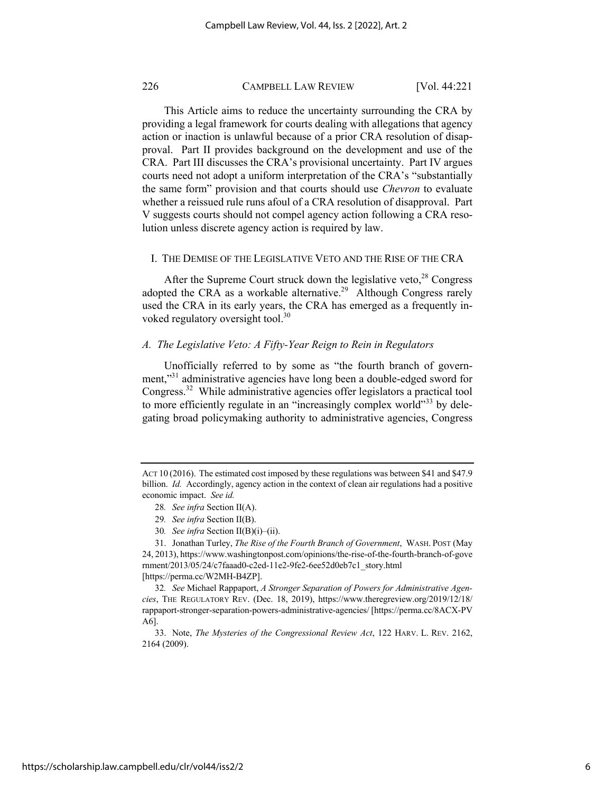This Article aims to reduce the uncertainty surrounding the CRA by providing a legal framework for courts dealing with allegations that agency action or inaction is unlawful because of a prior CRA resolution of disapproval. Part II provides background on the development and use of the CRA. Part III discusses the CRA's provisional uncertainty. Part IV argues courts need not adopt a uniform interpretation of the CRA's "substantially the same form" provision and that courts should use *Chevron* to evaluate whether a reissued rule runs afoul of a CRA resolution of disapproval. Part V suggests courts should not compel agency action following a CRA resolution unless discrete agency action is required by law.

# I. THE DEMISE OF THE LEGISLATIVE VETO AND THE RISE OF THE CRA

After the Supreme Court struck down the legislative veto, $28$  Congress adopted the CRA as a workable alternative.<sup>29</sup> Although Congress rarely used the CRA in its early years, the CRA has emerged as a frequently invoked regulatory oversight tool.<sup>30</sup>

# *A. The Legislative Veto: A Fifty-Year Reign to Rein in Regulators*

Unofficially referred to by some as "the fourth branch of government,"<sup>31</sup> administrative agencies have long been a double-edged sword for Congress.32 While administrative agencies offer legislators a practical tool to more efficiently regulate in an "increasingly complex world"<sup>33</sup> by delegating broad policymaking authority to administrative agencies, Congress

- 28*. See infra* Section II(A).
- 29*. See infra* Section II(B).
- 30*. See infra* Section II(B)(i)–(ii).

31. Jonathan Turley, *The Rise of the Fourth Branch of Government*, WASH. POST (May 24, 2013), https://www.washingtonpost.com/opinions/the-rise-of-the-fourth-branch-of-gove rnment/2013/05/24/c7faaad0-c2ed-11e2-9fe2-6ee52d0eb7c1\_story.html [https://perma.cc/W2MH-B4ZP].

32*. See* Michael Rappaport, *A Stronger Separation of Powers for Administrative Agencies*, THE REGULATORY REV. (Dec. 18, 2019), https://www.theregreview.org/2019/12/18/ rappaport-stronger-separation-powers-administrative-agencies/ [https://perma.cc/8ACX-PV A6].

33. Note, *The Mysteries of the Congressional Review Act*, 122 HARV. L. REV. 2162, 2164 (2009).

ACT 10 (2016). The estimated cost imposed by these regulations was between \$41 and \$47.9 billion. *Id.* Accordingly, agency action in the context of clean air regulations had a positive economic impact. *See id.*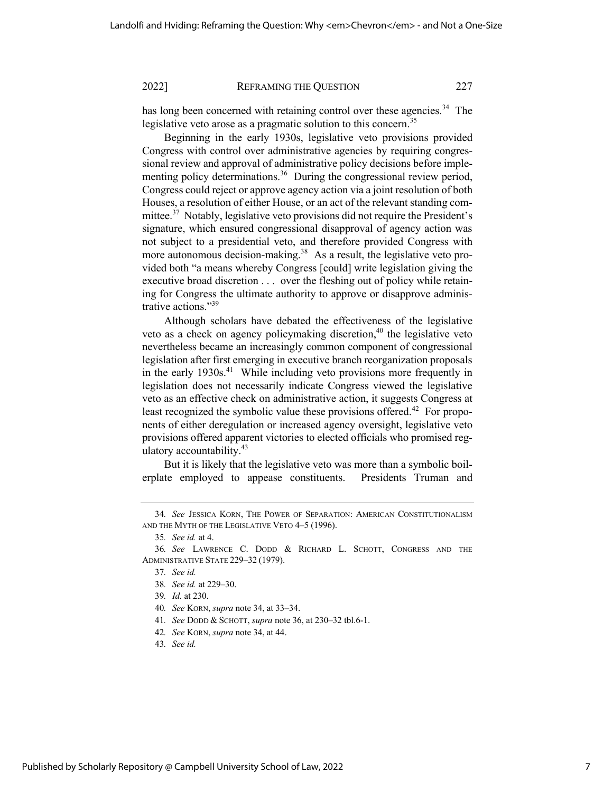has long been concerned with retaining control over these agencies.<sup>34</sup> The legislative veto arose as a pragmatic solution to this concern.<sup>35</sup>

Beginning in the early 1930s, legislative veto provisions provided Congress with control over administrative agencies by requiring congressional review and approval of administrative policy decisions before implementing policy determinations.<sup>36</sup> During the congressional review period, Congress could reject or approve agency action via a joint resolution of both Houses, a resolution of either House, or an act of the relevant standing committee.<sup>37</sup> Notably, legislative veto provisions did not require the President's signature, which ensured congressional disapproval of agency action was not subject to a presidential veto, and therefore provided Congress with more autonomous decision-making.<sup>38</sup> As a result, the legislative veto provided both "a means whereby Congress [could] write legislation giving the executive broad discretion . . . over the fleshing out of policy while retaining for Congress the ultimate authority to approve or disapprove administrative actions."<sup>39</sup>

Although scholars have debated the effectiveness of the legislative veto as a check on agency policymaking discretion, $40$  the legislative veto nevertheless became an increasingly common component of congressional legislation after first emerging in executive branch reorganization proposals in the early 1930s.<sup>41</sup> While including veto provisions more frequently in legislation does not necessarily indicate Congress viewed the legislative veto as an effective check on administrative action, it suggests Congress at least recognized the symbolic value these provisions offered.<sup>42</sup> For proponents of either deregulation or increased agency oversight, legislative veto provisions offered apparent victories to elected officials who promised regulatory accountability.43

But it is likely that the legislative veto was more than a symbolic boilerplate employed to appease constituents. Presidents Truman and

<sup>34</sup>*. See* JESSICA KORN, THE POWER OF SEPARATION: AMERICAN CONSTITUTIONALISM AND THE MYTH OF THE LEGISLATIVE VETO 4–5 (1996).

<sup>35</sup>*. See id.* at 4.

<sup>36</sup>*. See* LAWRENCE C. DODD & RICHARD L. SCHOTT, CONGRESS AND THE ADMINISTRATIVE STATE 229–32 (1979).

<sup>37</sup>*. See id.*

<sup>38</sup>*. See id.* at 229–30.

<sup>39</sup>*. Id.* at 230.

<sup>40</sup>*. See* KORN, *supra* note 34, at 33–34.

<sup>41</sup>*. See* DODD & SCHOTT, *supra* note 36, at 230–32 tbl.6-1.

<sup>42</sup>*. See* KORN, *supra* note 34, at 44.

<sup>43</sup>*. See id.*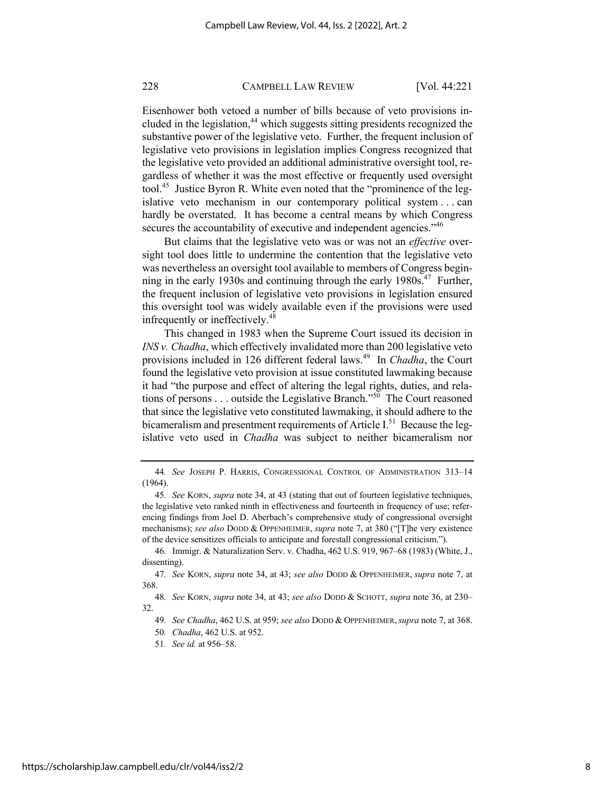Eisenhower both vetoed a number of bills because of veto provisions included in the legislation, $44$  which suggests sitting presidents recognized the substantive power of the legislative veto. Further, the frequent inclusion of legislative veto provisions in legislation implies Congress recognized that the legislative veto provided an additional administrative oversight tool, regardless of whether it was the most effective or frequently used oversight tool.<sup>45</sup> Justice Byron R. White even noted that the "prominence of the legislative veto mechanism in our contemporary political system . . . can hardly be overstated. It has become a central means by which Congress secures the accountability of executive and independent agencies."<sup>46</sup>

But claims that the legislative veto was or was not an *effective* oversight tool does little to undermine the contention that the legislative veto was nevertheless an oversight tool available to members of Congress beginning in the early 1930s and continuing through the early 1980s.<sup>47</sup> Further, the frequent inclusion of legislative veto provisions in legislation ensured this oversight tool was widely available even if the provisions were used infrequently or ineffectively.<sup>48</sup>

This changed in 1983 when the Supreme Court issued its decision in *INS v. Chadha*, which effectively invalidated more than 200 legislative veto provisions included in 126 different federal laws.49 In *Chadha*, the Court found the legislative veto provision at issue constituted lawmaking because it had "the purpose and effect of altering the legal rights, duties, and relations of persons  $\dots$  outside the Legislative Branch."<sup>50</sup> The Court reasoned that since the legislative veto constituted lawmaking, it should adhere to the bicameralism and presentment requirements of Article  $I^{51}$  Because the legislative veto used in *Chadha* was subject to neither bicameralism nor

<sup>44</sup>*. See* JOSEPH P. HARRIS, CONGRESSIONAL CONTROL OF ADMINISTRATION 313–14 (1964).

<sup>45</sup>*. See* KORN, *supra* note 34, at 43 (stating that out of fourteen legislative techniques, the legislative veto ranked ninth in effectiveness and fourteenth in frequency of use; referencing findings from Joel D. Aberbach's comprehensive study of congressional oversight mechanisms); *see also* DODD & OPPENHEIMER, *supra* note 7, at 380 ("[T]he very existence of the device sensitizes officials to anticipate and forestall congressional criticism.").

<sup>46.</sup> Immigr. & Naturalization Serv. v. Chadha, 462 U.S. 919, 967–68 (1983) (White, J., dissenting).

<sup>47</sup>*. See* KORN, *supra* note 34, at 43; *see also* DODD & OPPENHEIMER, *supra* note 7, at 368.

<sup>48</sup>*. See* KORN, *supra* note 34, at 43; *see also* DODD & SCHOTT, *supra* note 36, at 230– 32.

<sup>49</sup>*. See Chadha*, 462 U.S. at 959; *see also* DODD & OPPENHEIMER,*supra* note 7, at 368.

<sup>50</sup>*. Chadha*, 462 U.S. at 952.

<sup>51</sup>*. See id.* at 956–58.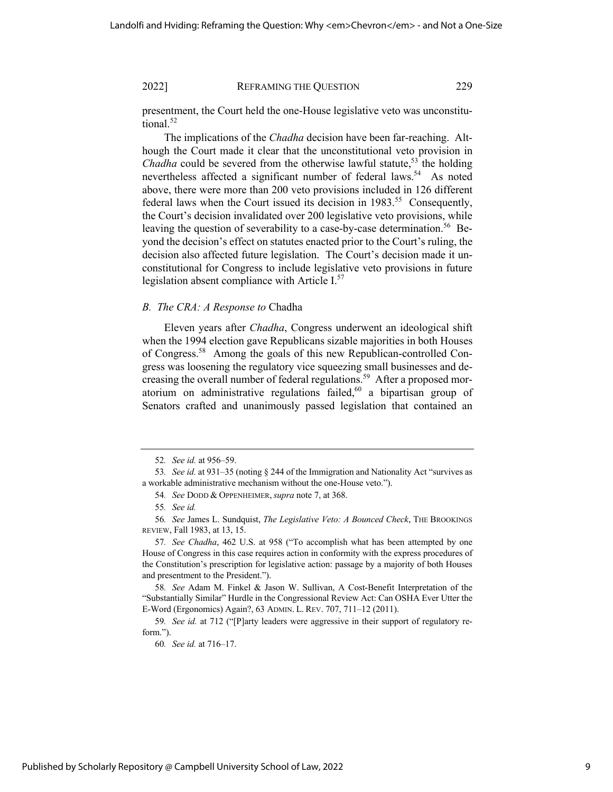presentment, the Court held the one-House legislative veto was unconstitutional.<sup>52</sup>

The implications of the *Chadha* decision have been far-reaching. Although the Court made it clear that the unconstitutional veto provision in *Chadha* could be severed from the otherwise lawful statute,<sup>53</sup> the holding nevertheless affected a significant number of federal laws.<sup>54</sup> As noted above, there were more than 200 veto provisions included in 126 different federal laws when the Court issued its decision in  $1983$ <sup>55</sup> Consequently, the Court's decision invalidated over 200 legislative veto provisions, while leaving the question of severability to a case-by-case determination.<sup>56</sup> Beyond the decision's effect on statutes enacted prior to the Court's ruling, the decision also affected future legislation. The Court's decision made it unconstitutional for Congress to include legislative veto provisions in future legislation absent compliance with Article I.<sup>57</sup>

# *B. The CRA: A Response to* Chadha

Eleven years after *Chadha*, Congress underwent an ideological shift when the 1994 election gave Republicans sizable majorities in both Houses of Congress.58 Among the goals of this new Republican-controlled Congress was loosening the regulatory vice squeezing small businesses and decreasing the overall number of federal regulations.<sup>59</sup> After a proposed moratorium on administrative regulations failed,  $60$  a bipartisan group of Senators crafted and unanimously passed legislation that contained an

60*. See id.* at 716–17.

<sup>52</sup>*. See id.* at 956–59.

<sup>53</sup>*. See id.* at 931–35 (noting § 244 of the Immigration and Nationality Act "survives as a workable administrative mechanism without the one-House veto.").

<sup>54</sup>*. See* DODD & OPPENHEIMER,*supra* note 7, at 368.

<sup>55</sup>*. See id.*

<sup>56</sup>*. See* James L. Sundquist, *The Legislative Veto: A Bounced Check*, THE BROOKINGS REVIEW, Fall 1983, at 13, 15.

<sup>57</sup>*. See Chadha*, 462 U.S. at 958 ("To accomplish what has been attempted by one House of Congress in this case requires action in conformity with the express procedures of the Constitution's prescription for legislative action: passage by a majority of both Houses and presentment to the President.").

<sup>58</sup>*. See* Adam M. Finkel & Jason W. Sullivan, A Cost-Benefit Interpretation of the "Substantially Similar" Hurdle in the Congressional Review Act: Can OSHA Ever Utter the E-Word (Ergonomics) Again?, 63 ADMIN. L. REV. 707, 711–12 (2011).

<sup>59</sup>*. See id.* at 712 ("[P]arty leaders were aggressive in their support of regulatory reform.").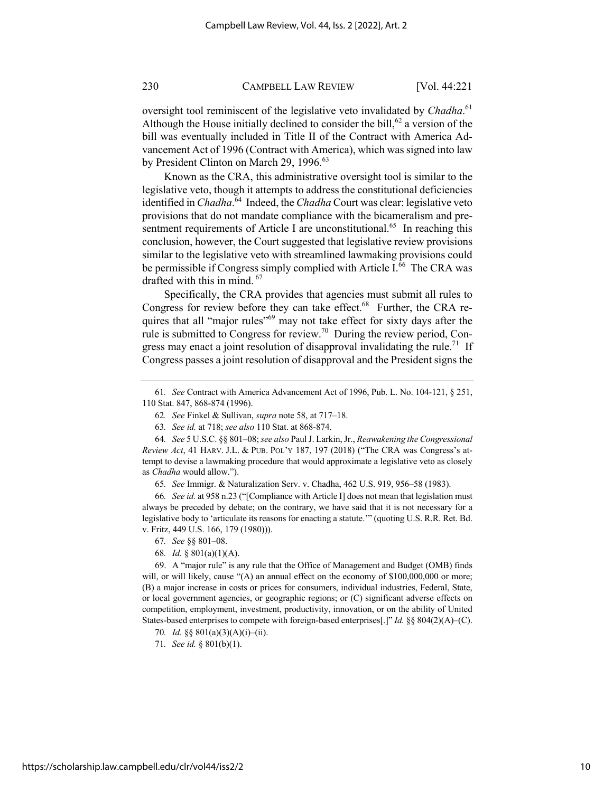oversight tool reminiscent of the legislative veto invalidated by *Chadha*.<sup>61</sup> Although the House initially declined to consider the bill,<sup>62</sup> a version of the bill was eventually included in Title II of the Contract with America Advancement Act of 1996 (Contract with America), which was signed into law by President Clinton on March 29, 1996.<sup>63</sup>

Known as the CRA, this administrative oversight tool is similar to the legislative veto, though it attempts to address the constitutional deficiencies identified in *Chadha*. 64 Indeed, the *Chadha* Court was clear: legislative veto provisions that do not mandate compliance with the bicameralism and presentment requirements of Article I are unconstitutional.<sup>65</sup> In reaching this conclusion, however, the Court suggested that legislative review provisions similar to the legislative veto with streamlined lawmaking provisions could be permissible if Congress simply complied with Article I.<sup>66</sup> The CRA was drafted with this in mind. 67

Specifically, the CRA provides that agencies must submit all rules to Congress for review before they can take effect. $68$  Further, the CRA requires that all "major rules"<sup>69</sup> may not take effect for sixty days after the rule is submitted to Congress for review.<sup>70</sup> During the review period, Congress may enact a joint resolution of disapproval invalidating the rule.<sup>71</sup> If Congress passes a joint resolution of disapproval and the President signs the

66*. See id.* at 958 n.23 ("[Compliance with Article I] does not mean that legislation must always be preceded by debate; on the contrary, we have said that it is not necessary for a legislative body to 'articulate its reasons for enacting a statute.'" (quoting U.S. R.R. Ret. Bd. v. Fritz, 449 U.S. 166, 179 (1980))).

71*. See id.* § 801(b)(1).

<sup>61</sup>*. See* Contract with America Advancement Act of 1996, Pub. L. No. 104-121, § 251, 110 Stat. 847, 868-874 (1996).

<sup>62</sup>*. See* Finkel & Sullivan, *supra* note 58, at 717–18.

<sup>63</sup>*. See id.* at 718; *see also* 110 Stat. at 868-874.

<sup>64</sup>*. See* 5 U.S.C. §§ 801–08; *see also* Paul J. Larkin, Jr., *Reawakening the Congressional Review Act*, 41 HARV. J.L. & PUB. POL'Y 187, 197 (2018) ("The CRA was Congress's attempt to devise a lawmaking procedure that would approximate a legislative veto as closely as *Chadha* would allow.").

<sup>65</sup>*. See* Immigr. & Naturalization Serv. v. Chadha, 462 U.S. 919, 956–58 (1983).

<sup>67</sup>*. See* §§ 801–08.

<sup>68</sup>*. Id.* § 801(a)(1)(A).

<sup>69.</sup> A "major rule" is any rule that the Office of Management and Budget (OMB) finds will, or will likely, cause "(A) an annual effect on the economy of \$100,000,000 or more; (B) a major increase in costs or prices for consumers, individual industries, Federal, State, or local government agencies, or geographic regions; or (C) significant adverse effects on competition, employment, investment, productivity, innovation, or on the ability of United States-based enterprises to compete with foreign-based enterprises[.]" *Id.* §§ 804(2)(A)–(C).

<sup>70</sup>*. Id.* §§ 801(a)(3)(A)(i)–(ii).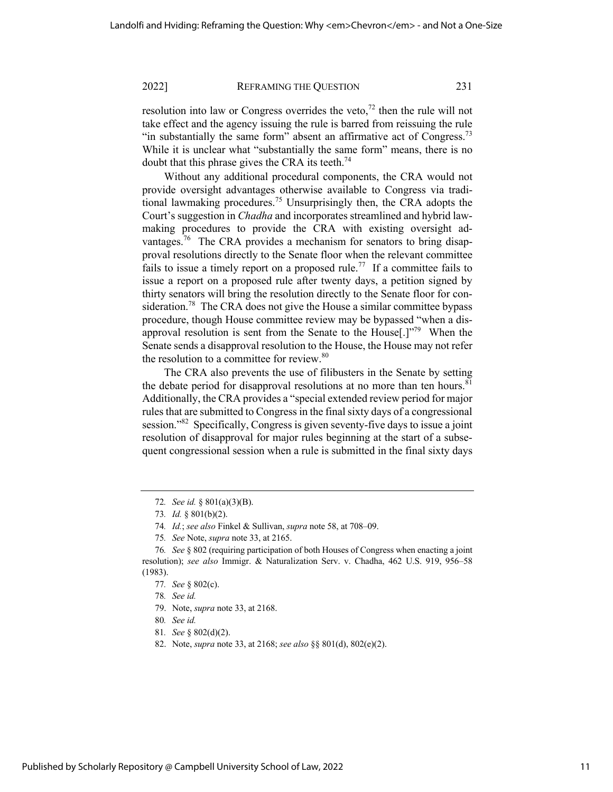resolution into law or Congress overrides the veto,<sup> $72$ </sup> then the rule will not take effect and the agency issuing the rule is barred from reissuing the rule "in substantially the same form" absent an affirmative act of Congress.<sup>73</sup> While it is unclear what "substantially the same form" means, there is no doubt that this phrase gives the CRA its teeth.<sup>74</sup>

Without any additional procedural components, the CRA would not provide oversight advantages otherwise available to Congress via traditional lawmaking procedures.<sup>75</sup> Unsurprisingly then, the CRA adopts the Court's suggestion in *Chadha* and incorporates streamlined and hybrid lawmaking procedures to provide the CRA with existing oversight advantages.<sup>76</sup> The CRA provides a mechanism for senators to bring disapproval resolutions directly to the Senate floor when the relevant committee fails to issue a timely report on a proposed rule.<sup>77</sup> If a committee fails to issue a report on a proposed rule after twenty days, a petition signed by thirty senators will bring the resolution directly to the Senate floor for consideration.<sup>78</sup> The CRA does not give the House a similar committee bypass procedure, though House committee review may be bypassed "when a disapproval resolution is sent from the Senate to the House.  $\mathbb{R}^{79}$  When the Senate sends a disapproval resolution to the House, the House may not refer the resolution to a committee for review.<sup>80</sup>

The CRA also prevents the use of filibusters in the Senate by setting the debate period for disapproval resolutions at no more than ten hours. $81$ Additionally, the CRA provides a "special extended review period for major rules that are submitted to Congress in the final sixty days of a congressional session."<sup>82</sup> Specifically, Congress is given seventy-five days to issue a joint resolution of disapproval for major rules beginning at the start of a subsequent congressional session when a rule is submitted in the final sixty days

82. Note, *supra* note 33, at 2168; *see also* §§ 801(d), 802(e)(2).

<sup>72</sup>*. See id.* § 801(a)(3)(B).

<sup>73</sup>*. Id.* § 801(b)(2).

<sup>74</sup>*. Id.*; *see also* Finkel & Sullivan, *supra* note 58, at 708–09.

<sup>75</sup>*. See* Note, *supra* note 33, at 2165.

<sup>76</sup>*. See* § 802 (requiring participation of both Houses of Congress when enacting a joint resolution); *see also* Immigr. & Naturalization Serv. v. Chadha, 462 U.S. 919, 956–58 (1983).

<sup>77</sup>*. See* § 802(c).

<sup>78</sup>*. See id.*

<sup>79.</sup> Note, *supra* note 33, at 2168.

<sup>80</sup>*. See id.*

<sup>81</sup>*. See* § 802(d)(2).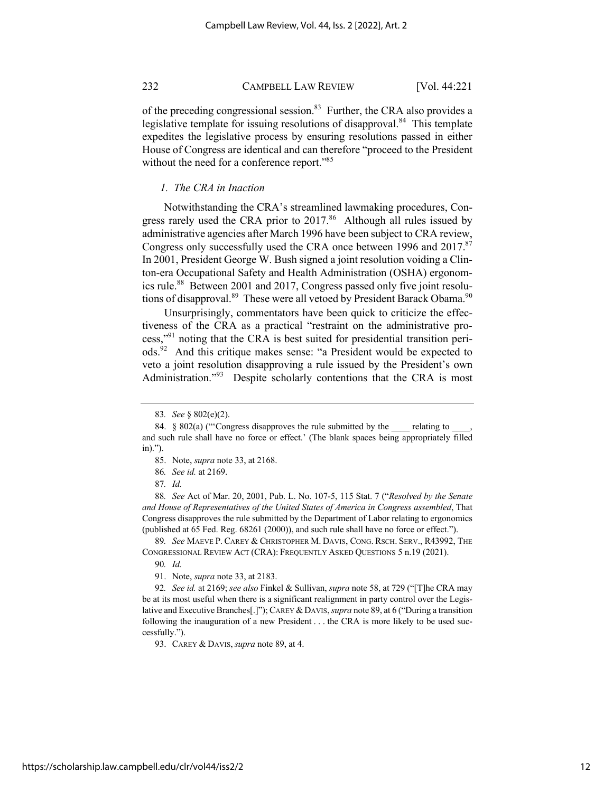of the preceding congressional session.<sup>83</sup> Further, the CRA also provides a legislative template for issuing resolutions of disapproval.<sup>84</sup> This template expedites the legislative process by ensuring resolutions passed in either House of Congress are identical and can therefore "proceed to the President without the need for a conference report."<sup>85</sup>

# *1. The CRA in Inaction*

Notwithstanding the CRA's streamlined lawmaking procedures, Congress rarely used the CRA prior to  $2017<sup>86</sup>$  Although all rules issued by administrative agencies after March 1996 have been subject to CRA review, Congress only successfully used the CRA once between 1996 and 2017.<sup>87</sup> In 2001, President George W. Bush signed a joint resolution voiding a Clinton-era Occupational Safety and Health Administration (OSHA) ergonomics rule.<sup>88</sup> Between 2001 and 2017, Congress passed only five joint resolutions of disapproval.<sup>89</sup> These were all vetoed by President Barack Obama.<sup>90</sup>

Unsurprisingly, commentators have been quick to criticize the effectiveness of the CRA as a practical "restraint on the administrative process,"91 noting that the CRA is best suited for presidential transition periods.92 And this critique makes sense: "a President would be expected to veto a joint resolution disapproving a rule issued by the President's own Administration."<sup>93</sup> Despite scholarly contentions that the CRA is most

88*. See* Act of Mar. 20, 2001, Pub. L. No. 107-5, 115 Stat. 7 ("*Resolved by the Senate and House of Representatives of the United States of America in Congress assembled*, That Congress disapproves the rule submitted by the Department of Labor relating to ergonomics (published at 65 Fed. Reg. 68261 (2000)), and such rule shall have no force or effect.").

89*. See* MAEVE P. CAREY & CHRISTOPHER M. DAVIS, CONG. RSCH. SERV., R43992, THE CONGRESSIONAL REVIEW ACT (CRA): FREQUENTLY ASKED QUESTIONS 5 n.19 (2021).

90*. Id.*

91. Note, *supra* note 33, at 2183.

92*. See id.* at 2169; *see also* Finkel & Sullivan, *supra* note 58, at 729 ("[T]he CRA may be at its most useful when there is a significant realignment in party control over the Legislative and Executive Branches[.]"); CAREY & DAVIS, *supra* note 89, at 6 ("During a transition following the inauguration of a new President . . . the CRA is more likely to be used successfully.").

93. CAREY & DAVIS,*supra* note 89, at 4.

<sup>83</sup>*. See* § 802(e)(2).

<sup>84. § 802(</sup>a) ("Congress disapproves the rule submitted by the relating to and such rule shall have no force or effect.' (The blank spaces being appropriately filled in).").

<sup>85.</sup> Note, *supra* note 33, at 2168.

<sup>86</sup>*. See id.* at 2169.

<sup>87</sup>*. Id.*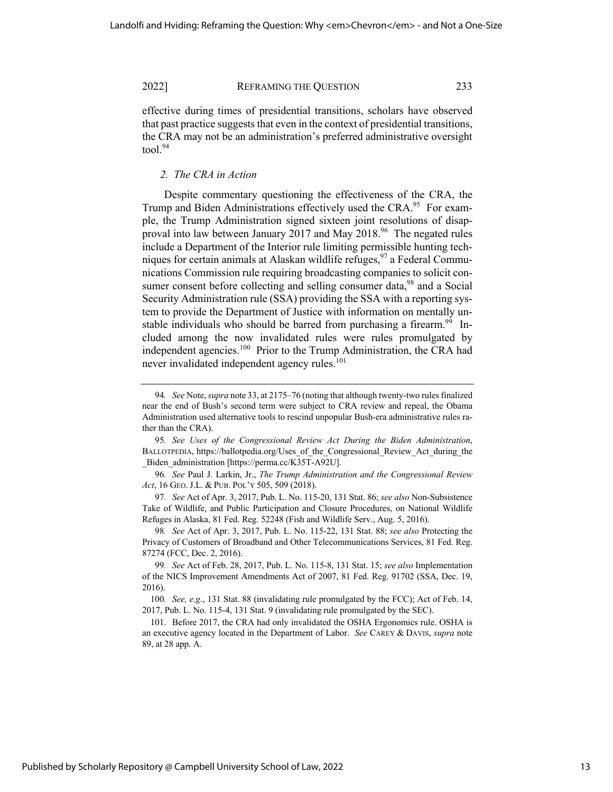effective during times of presidential transitions, scholars have observed that past practice suggests that even in the context of presidential transitions, the CRA may not be an administration's preferred administrative oversight  $tool.<sup>94</sup>$ 

# *2. The CRA in Action*

Despite commentary questioning the effectiveness of the CRA, the Trump and Biden Administrations effectively used the CRA.<sup>95</sup> For example, the Trump Administration signed sixteen joint resolutions of disapproval into law between January 2017 and May 2018.<sup>96</sup> The negated rules include a Department of the Interior rule limiting permissible hunting techniques for certain animals at Alaskan wildlife refuges,  $97$  a Federal Communications Commission rule requiring broadcasting companies to solicit consumer consent before collecting and selling consumer data,<sup>98</sup> and a Social Security Administration rule (SSA) providing the SSA with a reporting system to provide the Department of Justice with information on mentally unstable individuals who should be barred from purchasing a firearm.<sup>99</sup> Included among the now invalidated rules were rules promulgated by independent agencies.<sup>100</sup> Prior to the Trump Administration, the CRA had never invalidated independent agency rules.<sup>101</sup>

<sup>94</sup>*. See* Note, *supra* note 33, at 2175–76 (noting that although twenty-two rules finalized near the end of Bush's second term were subject to CRA review and repeal, the Obama Administration used alternative tools to rescind unpopular Bush-era administrative rules rather than the CRA).

<sup>95</sup>*. See Uses of the Congressional Review Act During the Biden Administration*, BALLOTPEDIA, https://ballotpedia.org/Uses\_of\_the\_Congressional\_Review\_Act\_during\_the Biden\_administration [https://perma.cc/K35T-A92U].

<sup>96</sup>*. See* Paul J. Larkin, Jr., *The Trump Administration and the Congressional Review Act*, 16 GEO.J.L. & PUB. POL'Y 505, 509 (2018).

<sup>97</sup>*. See* Act of Apr. 3, 2017, Pub. L. No. 115-20, 131 Stat. 86; *see also* Non-Subsistence Take of Wildlife, and Public Participation and Closure Procedures, on National Wildlife Refuges in Alaska, 81 Fed. Reg. 52248 (Fish and Wildlife Serv., Aug. 5, 2016).

<sup>98</sup>*. See* Act of Apr. 3, 2017, Pub. L. No. 115-22, 131 Stat. 88; *see also* Protecting the Privacy of Customers of Broadband and Other Telecommunications Services, 81 Fed. Reg. 87274 (FCC, Dec. 2, 2016).

<sup>99</sup>*. See* Act of Feb. 28, 2017, Pub. L. No. 115-8, 131 Stat. 15; *see also* Implementation of the NICS Improvement Amendments Act of 2007, 81 Fed. Reg. 91702 (SSA, Dec. 19, 2016).

<sup>100</sup>*. See, e.g.*, 131 Stat. 88 (invalidating rule promulgated by the FCC); Act of Feb. 14, 2017, Pub. L. No. 115-4, 131 Stat. 9 (invalidating rule promulgated by the SEC).

<sup>101.</sup> Before 2017, the CRA had only invalidated the OSHA Ergonomics rule. OSHA is an executive agency located in the Department of Labor. *See* CAREY & DAVIS, *supra* note 89, at 28 app. A.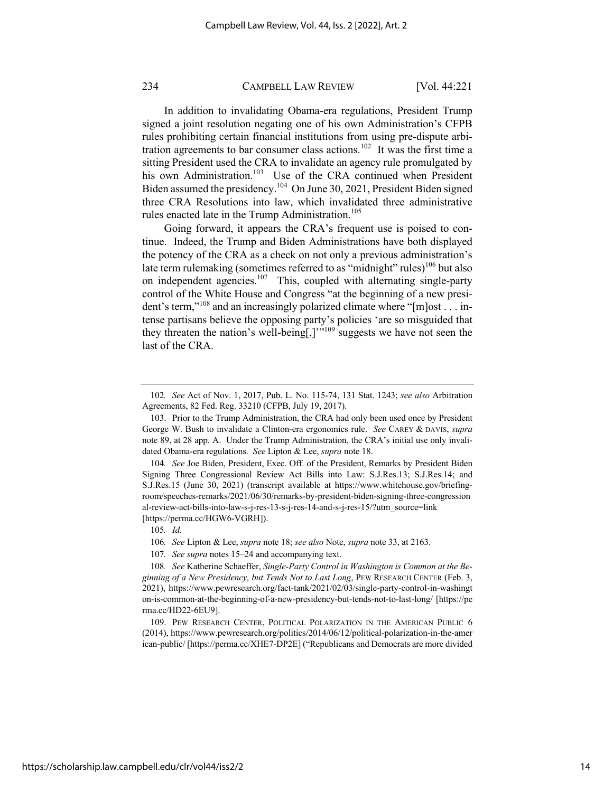In addition to invalidating Obama-era regulations, President Trump signed a joint resolution negating one of his own Administration's CFPB rules prohibiting certain financial institutions from using pre-dispute arbitration agreements to bar consumer class actions.<sup>102</sup> It was the first time a sitting President used the CRA to invalidate an agency rule promulgated by his own Administration.<sup>103</sup> Use of the CRA continued when President Biden assumed the presidency.104 On June 30, 2021, President Biden signed three CRA Resolutions into law, which invalidated three administrative rules enacted late in the Trump Administration.<sup>105</sup>

Going forward, it appears the CRA's frequent use is poised to continue. Indeed, the Trump and Biden Administrations have both displayed the potency of the CRA as a check on not only a previous administration's late term rulemaking (sometimes referred to as "midnight" rules)<sup>106</sup> but also on independent agencies.<sup>107</sup> This, coupled with alternating single-party control of the White House and Congress "at the beginning of a new president's term,"<sup>108</sup> and an increasingly polarized climate where "[m]ost . . . intense partisans believe the opposing party's policies 'are so misguided that they threaten the nation's well-being[,]"<sup>109</sup> suggests we have not seen the last of the CRA.

105*. Id.*

106*. See* Lipton & Lee, *supra* note 18; *see also* Note, *supra* note 33, at 2163.

107*. See supra* notes 15–24 and accompanying text.

<sup>102</sup>*. See* Act of Nov. 1, 2017, Pub. L. No. 115-74, 131 Stat. 1243; *see also* Arbitration Agreements, 82 Fed. Reg. 33210 (CFPB, July 19, 2017).

<sup>103.</sup> Prior to the Trump Administration, the CRA had only been used once by President George W. Bush to invalidate a Clinton-era ergonomics rule. *See* CAREY & DAVIS, *supra* note 89, at 28 app. A. Under the Trump Administration, the CRA's initial use only invalidated Obama-era regulations. *See* Lipton & Lee, *supra* note 18.

<sup>104</sup>*. See* Joe Biden, President, Exec. Off. of the President, Remarks by President Biden Signing Three Congressional Review Act Bills into Law: S.J.Res.13; S.J.Res.14; and S.J.Res.15 (June 30, 2021) (transcript available at https://www.whitehouse.gov/briefingroom/speeches-remarks/2021/06/30/remarks-by-president-biden-signing-three-congression al-review-act-bills-into-law-s-j-res-13-s-j-res-14-and-s-j-res-15/?utm\_source=link [https://perma.cc/HGW6-VGRH]).

<sup>108</sup>*. See* Katherine Schaeffer, *Single-Party Control in Washington is Common at the Beginning of a New Presidency, but Tends Not to Last Long*, PEW RESEARCH CENTER (Feb. 3, 2021), https://www.pewresearch.org/fact-tank/2021/02/03/single-party-control-in-washingt on-is-common-at-the-beginning-of-a-new-presidency-but-tends-not-to-last-long/ [https://pe rma.cc/HD22-6EU9].

<sup>109.</sup> PEW RESEARCH CENTER, POLITICAL POLARIZATION IN THE AMERICAN PUBLIC 6 (2014), https://www.pewresearch.org/politics/2014/06/12/political-polarization-in-the-amer ican-public/ [https://perma.cc/XHE7-DP2E] ("Republicans and Democrats are more divided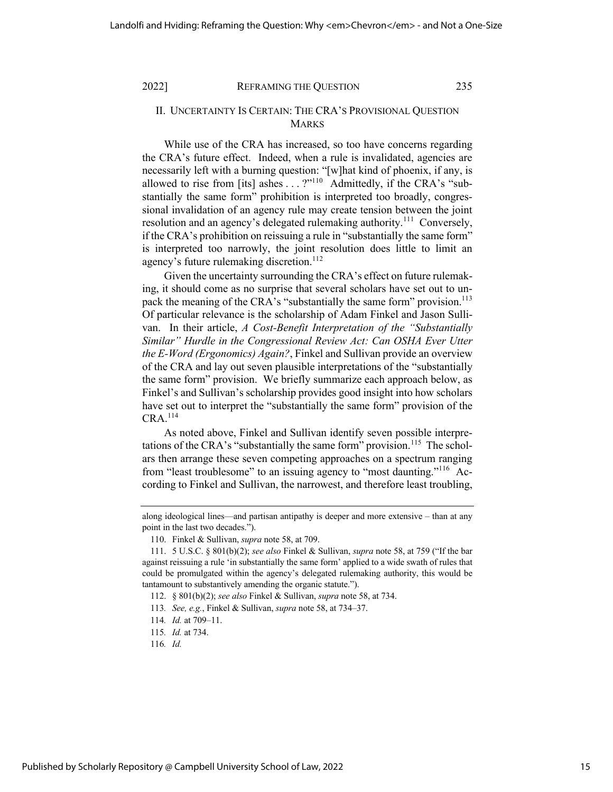# II. UNCERTAINTY IS CERTAIN: THE CRA'S PROVISIONAL QUESTION MARKS

While use of the CRA has increased, so too have concerns regarding the CRA's future effect. Indeed, when a rule is invalidated, agencies are necessarily left with a burning question: "[w]hat kind of phoenix, if any, is allowed to rise from [its] ashes . . . ?"<sup>110</sup> Admittedly, if the CRA's "substantially the same form" prohibition is interpreted too broadly, congressional invalidation of an agency rule may create tension between the joint resolution and an agency's delegated rulemaking authority.<sup>111</sup> Conversely, if the CRA's prohibition on reissuing a rule in "substantially the same form" is interpreted too narrowly, the joint resolution does little to limit an agency's future rulemaking discretion.<sup>112</sup>

Given the uncertainty surrounding the CRA's effect on future rulemaking, it should come as no surprise that several scholars have set out to unpack the meaning of the CRA's "substantially the same form" provision.<sup>113</sup> Of particular relevance is the scholarship of Adam Finkel and Jason Sullivan. In their article, *A Cost-Benefit Interpretation of the "Substantially Similar" Hurdle in the Congressional Review Act: Can OSHA Ever Utter the E-Word (Ergonomics) Again?*, Finkel and Sullivan provide an overview of the CRA and lay out seven plausible interpretations of the "substantially the same form" provision. We briefly summarize each approach below, as Finkel's and Sullivan's scholarship provides good insight into how scholars have set out to interpret the "substantially the same form" provision of the  $CRA$ <sup>114</sup>

As noted above, Finkel and Sullivan identify seven possible interpretations of the CRA's "substantially the same form" provision.<sup>115</sup> The scholars then arrange these seven competing approaches on a spectrum ranging from "least troublesome" to an issuing agency to "most daunting."<sup>116</sup> According to Finkel and Sullivan, the narrowest, and therefore least troubling,

along ideological lines—and partisan antipathy is deeper and more extensive – than at any point in the last two decades.").

<sup>110.</sup> Finkel & Sullivan, *supra* note 58, at 709.

<sup>111.</sup> 5 U.S.C. § 801(b)(2); *see also* Finkel & Sullivan, *supra* note 58, at 759 ("If the bar against reissuing a rule 'in substantially the same form' applied to a wide swath of rules that could be promulgated within the agency's delegated rulemaking authority, this would be tantamount to substantively amending the organic statute.").

<sup>112.</sup> § 801(b)(2); *see also* Finkel & Sullivan, *supra* note 58, at 734.

<sup>113</sup>*. See, e.g.*, Finkel & Sullivan, *supra* note 58, at 734–37.

<sup>114</sup>*. Id.* at 709–11.

<sup>115</sup>*. Id.* at 734.

<sup>116</sup>*. Id.*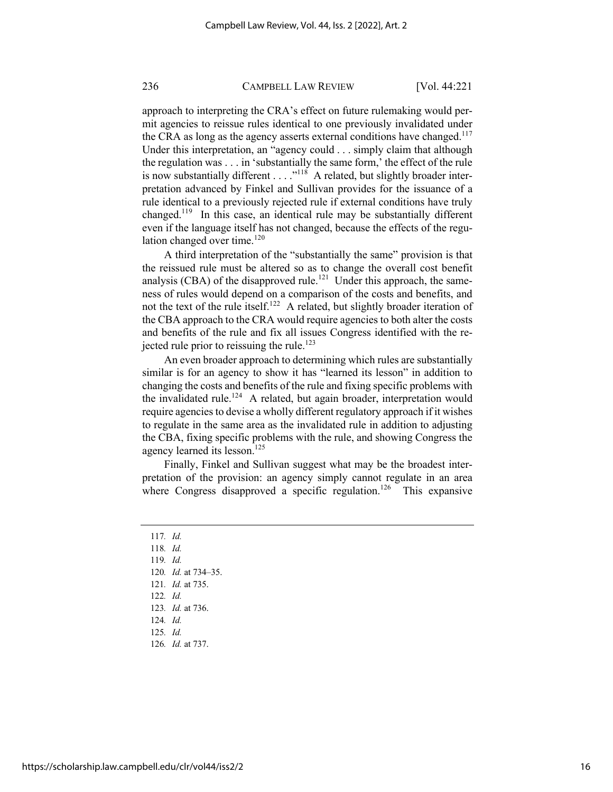approach to interpreting the CRA's effect on future rulemaking would permit agencies to reissue rules identical to one previously invalidated under the CRA as long as the agency asserts external conditions have changed. $117$ Under this interpretation, an "agency could . . . simply claim that although the regulation was . . . in 'substantially the same form,' the effect of the rule is now substantially different  $\dots$ ."<sup>118</sup> A related, but slightly broader interpretation advanced by Finkel and Sullivan provides for the issuance of a rule identical to a previously rejected rule if external conditions have truly changed.<sup>119</sup> In this case, an identical rule may be substantially different even if the language itself has not changed, because the effects of the regulation changed over time. $120$ 

A third interpretation of the "substantially the same" provision is that the reissued rule must be altered so as to change the overall cost benefit analysis (CBA) of the disapproved rule.<sup>121</sup> Under this approach, the sameness of rules would depend on a comparison of the costs and benefits, and not the text of the rule itself.122 A related, but slightly broader iteration of the CBA approach to the CRA would require agencies to both alter the costs and benefits of the rule and fix all issues Congress identified with the rejected rule prior to reissuing the rule.<sup>123</sup>

An even broader approach to determining which rules are substantially similar is for an agency to show it has "learned its lesson" in addition to changing the costs and benefits of the rule and fixing specific problems with the invalidated rule.<sup>124</sup> A related, but again broader, interpretation would require agencies to devise a wholly different regulatory approach if it wishes to regulate in the same area as the invalidated rule in addition to adjusting the CBA, fixing specific problems with the rule, and showing Congress the agency learned its lesson. $125$ 

Finally, Finkel and Sullivan suggest what may be the broadest interpretation of the provision: an agency simply cannot regulate in an area where Congress disapproved a specific regulation.<sup>126</sup> This expansive

117*. Id.* 118*. Id.* 119*. Id.* 120*. Id.* at 734–35. 121*. Id.* at 735. 122*. Id.* 123*. Id.* at 736. 124*. Id.*  125*. Id.*  126*. Id.* at 737.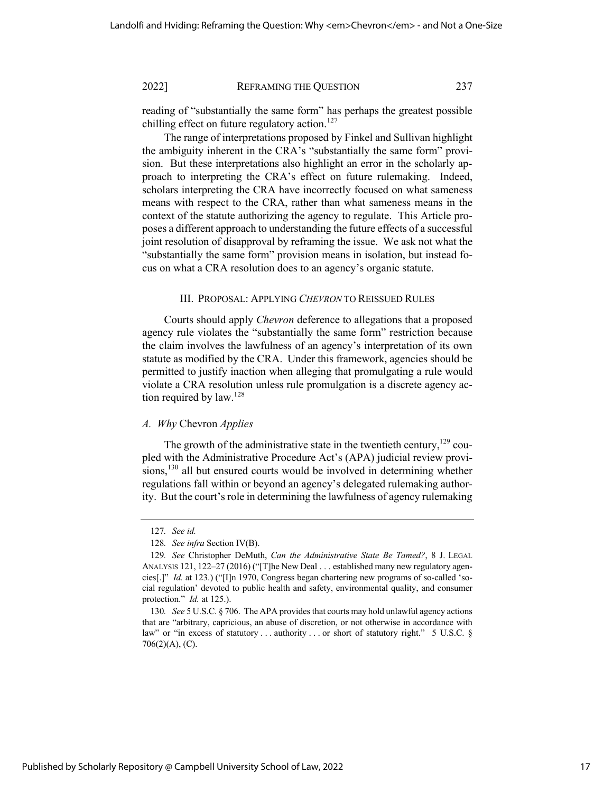reading of "substantially the same form" has perhaps the greatest possible chilling effect on future regulatory action.<sup>127</sup>

The range of interpretations proposed by Finkel and Sullivan highlight the ambiguity inherent in the CRA's "substantially the same form" provision. But these interpretations also highlight an error in the scholarly approach to interpreting the CRA's effect on future rulemaking. Indeed, scholars interpreting the CRA have incorrectly focused on what sameness means with respect to the CRA, rather than what sameness means in the context of the statute authorizing the agency to regulate. This Article proposes a different approach to understanding the future effects of a successful joint resolution of disapproval by reframing the issue. We ask not what the "substantially the same form" provision means in isolation, but instead focus on what a CRA resolution does to an agency's organic statute.

#### III. PROPOSAL: APPLYING *CHEVRON* TO REISSUED RULES

Courts should apply *Chevron* deference to allegations that a proposed agency rule violates the "substantially the same form" restriction because the claim involves the lawfulness of an agency's interpretation of its own statute as modified by the CRA. Under this framework, agencies should be permitted to justify inaction when alleging that promulgating a rule would violate a CRA resolution unless rule promulgation is a discrete agency action required by law.<sup>128</sup>

# *A. Why* Chevron *Applies*

The growth of the administrative state in the twentieth century, $129$  coupled with the Administrative Procedure Act's (APA) judicial review provisions,<sup>130</sup> all but ensured courts would be involved in determining whether regulations fall within or beyond an agency's delegated rulemaking authority. But the court's role in determining the lawfulness of agency rulemaking

<sup>127</sup>*. See id.*

<sup>128</sup>*. See infra* Section IV(B).

<sup>129</sup>*. See* Christopher DeMuth, *Can the Administrative State Be Tamed?*, 8 J. LEGAL ANALYSIS 121, 122–27 (2016) ("[T]he New Deal . . . established many new regulatory agencies[.]" *Id.* at 123.) ("[I]n 1970, Congress began chartering new programs of so-called 'social regulation' devoted to public health and safety, environmental quality, and consumer protection." *Id.* at 125.).

<sup>130</sup>*. See* 5 U.S.C. § 706. The APA provides that courts may hold unlawful agency actions that are "arbitrary, capricious, an abuse of discretion, or not otherwise in accordance with law" or "in excess of statutory . . . authority . . . or short of statutory right." 5 U.S.C. § 706(2)(A), (C).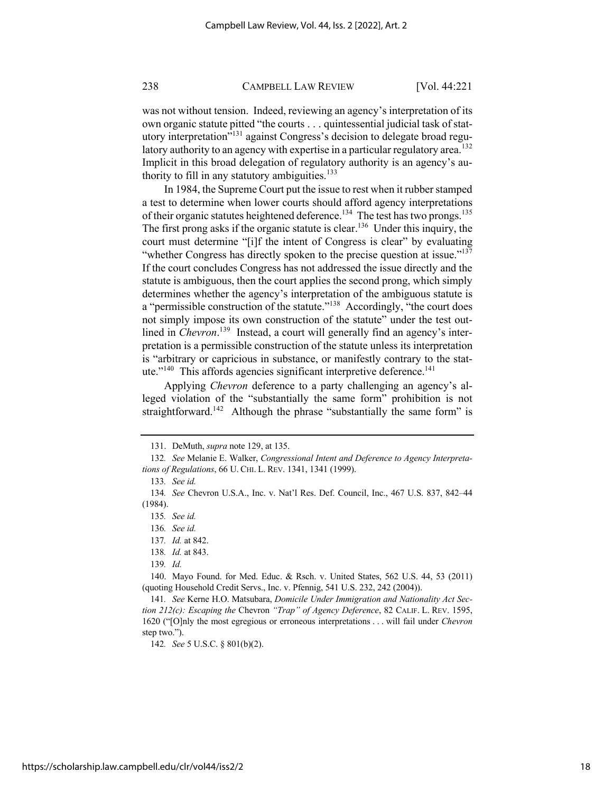was not without tension. Indeed, reviewing an agency's interpretation of its own organic statute pitted "the courts . . . quintessential judicial task of statutory interpretation<sup>7131</sup> against Congress's decision to delegate broad regulatory authority to an agency with expertise in a particular regulatory area.<sup>132</sup> Implicit in this broad delegation of regulatory authority is an agency's authority to fill in any statutory ambiguities. $133$ 

In 1984, the Supreme Court put the issue to rest when it rubber stamped a test to determine when lower courts should afford agency interpretations of their organic statutes heightened deference.<sup>134</sup> The test has two prongs.<sup>135</sup> The first prong asks if the organic statute is clear.<sup>136</sup> Under this inquiry, the court must determine "[i]f the intent of Congress is clear" by evaluating "whether Congress has directly spoken to the precise question at issue."<sup>137</sup> If the court concludes Congress has not addressed the issue directly and the statute is ambiguous, then the court applies the second prong, which simply determines whether the agency's interpretation of the ambiguous statute is a "permissible construction of the statute."<sup>138</sup> Accordingly, "the court does not simply impose its own construction of the statute" under the test outlined in *Chevron*.<sup>139</sup> Instead, a court will generally find an agency's interpretation is a permissible construction of the statute unless its interpretation is "arbitrary or capricious in substance, or manifestly contrary to the statute."<sup>140</sup> This affords agencies significant interpretive deference. $141$ 

Applying *Chevron* deference to a party challenging an agency's alleged violation of the "substantially the same form" prohibition is not straightforward.<sup>142</sup> Although the phrase "substantially the same form" is

142*. See* 5 U.S.C. § 801(b)(2).

<sup>131.</sup> DeMuth, *supra* note 129, at 135.

<sup>132</sup>*. See* Melanie E. Walker, *Congressional Intent and Deference to Agency Interpretations of Regulations*, 66 U. CHI. L. REV. 1341, 1341 (1999).

<sup>133</sup>*. See id.*

<sup>134</sup>*. See* Chevron U.S.A., Inc. v. Nat'l Res. Def. Council, Inc., 467 U.S. 837, 842–44 (1984).

<sup>135</sup>*. See id.*

<sup>136</sup>*. See id.* 

<sup>137</sup>*. Id.* at 842.

<sup>138</sup>*. Id.* at 843.

<sup>139</sup>*. Id.*

<sup>140.</sup> Mayo Found. for Med. Educ. & Rsch. v. United States, 562 U.S. 44, 53 (2011) (quoting Household Credit Servs., Inc. v. Pfennig, 541 U.S. 232, 242 (2004)).

<sup>141</sup>*. See* Kerne H.O. Matsubara, *Domicile Under Immigration and Nationality Act Section 212(c): Escaping the* Chevron *"Trap" of Agency Deference*, 82 CALIF. L. REV. 1595, 1620 ("[O]nly the most egregious or erroneous interpretations . . . will fail under *Chevron* step two.").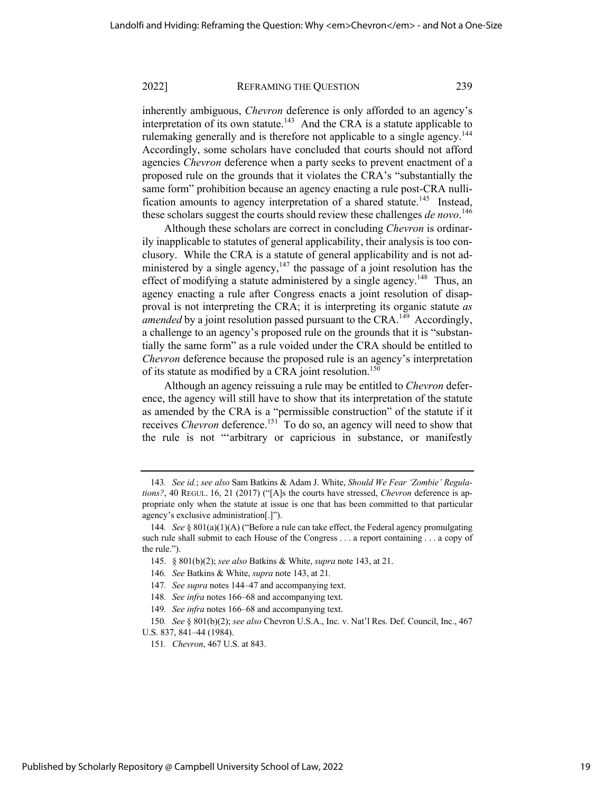inherently ambiguous, *Chevron* deference is only afforded to an agency's interpretation of its own statute.<sup>143</sup> And the CRA is a statute applicable to rulemaking generally and is therefore not applicable to a single agency.<sup>144</sup> Accordingly, some scholars have concluded that courts should not afford agencies *Chevron* deference when a party seeks to prevent enactment of a proposed rule on the grounds that it violates the CRA's "substantially the same form" prohibition because an agency enacting a rule post-CRA nullification amounts to agency interpretation of a shared statute.<sup>145</sup> Instead, these scholars suggest the courts should review these challenges *de novo*. 146

Although these scholars are correct in concluding *Chevron* is ordinarily inapplicable to statutes of general applicability, their analysis is too conclusory. While the CRA is a statute of general applicability and is not administered by a single agency,<sup>147</sup> the passage of a joint resolution has the effect of modifying a statute administered by a single agency.<sup>148</sup> Thus, an agency enacting a rule after Congress enacts a joint resolution of disapproval is not interpreting the CRA; it is interpreting its organic statute *as amended* by a joint resolution passed pursuant to the CRA.<sup>149</sup> Accordingly, a challenge to an agency's proposed rule on the grounds that it is "substantially the same form" as a rule voided under the CRA should be entitled to *Chevron* deference because the proposed rule is an agency's interpretation of its statute as modified by a CRA joint resolution.<sup>150</sup>

Although an agency reissuing a rule may be entitled to *Chevron* deference, the agency will still have to show that its interpretation of the statute as amended by the CRA is a "permissible construction" of the statute if it receives *Chevron* deference.<sup>151</sup> To do so, an agency will need to show that the rule is not "'arbitrary or capricious in substance, or manifestly

<sup>143</sup>*. See id.*; *see also* Sam Batkins & Adam J. White, *Should We Fear 'Zombie' Regulations?*, 40 REGUL. 16, 21 (2017) ("[A]s the courts have stressed, *Chevron* deference is appropriate only when the statute at issue is one that has been committed to that particular agency's exclusive administration[.]").

<sup>144</sup>*. See* § 801(a)(1)(A) ("Before a rule can take effect, the Federal agency promulgating such rule shall submit to each House of the Congress . . . a report containing . . . a copy of the rule.").

<sup>145.</sup> § 801(b)(2); *see also* Batkins & White, *supra* note 143, at 21.

<sup>146</sup>*. See* Batkins & White, *supra* note 143, at 21*.*

<sup>147</sup>*. See supra* notes 144–47 and accompanying text.

<sup>148</sup>*. See infra* notes 166–68 and accompanying text.

<sup>149</sup>*. See infra* notes 166–68 and accompanying text.

<sup>150</sup>*. See* § 801(b)(2); *see also* Chevron U.S.A., Inc. v. Nat'l Res. Def. Council, Inc., 467 U.S. 837, 841–44 (1984).

<sup>151</sup>*. Chevron*, 467 U.S. at 843.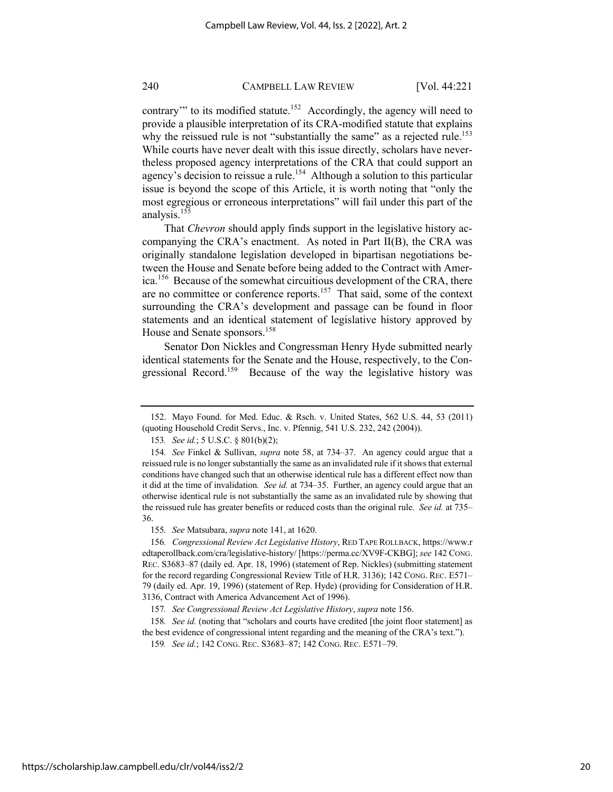contrary" to its modified statute.<sup>152</sup> Accordingly, the agency will need to provide a plausible interpretation of its CRA-modified statute that explains why the reissued rule is not "substantially the same" as a rejected rule.<sup>153</sup> While courts have never dealt with this issue directly, scholars have nevertheless proposed agency interpretations of the CRA that could support an agency's decision to reissue a rule.<sup>154</sup> Although a solution to this particular issue is beyond the scope of this Article, it is worth noting that "only the most egregious or erroneous interpretations" will fail under this part of the analysis.155

That *Chevron* should apply finds support in the legislative history accompanying the CRA's enactment. As noted in Part II(B), the CRA was originally standalone legislation developed in bipartisan negotiations between the House and Senate before being added to the Contract with America.156 Because of the somewhat circuitious development of the CRA, there are no committee or conference reports.157 That said, some of the context surrounding the CRA's development and passage can be found in floor statements and an identical statement of legislative history approved by House and Senate sponsors.<sup>158</sup>

Senator Don Nickles and Congressman Henry Hyde submitted nearly identical statements for the Senate and the House, respectively, to the Congressional Record.<sup>159</sup> Because of the way the legislative history was

155*. See* Matsubara, *supra* note 141, at 1620.

156*. Congressional Review Act Legislative History*, RED TAPE ROLLBACK, https://www.r edtaperollback.com/cra/legislative-history/ [https://perma.cc/XV9F-CKBG]; *see* 142 CONG. REC. S3683–87 (daily ed. Apr. 18, 1996) (statement of Rep. Nickles) (submitting statement for the record regarding Congressional Review Title of H.R. 3136); 142 CONG. REC. E571– 79 (daily ed. Apr. 19, 1996) (statement of Rep. Hyde) (providing for Consideration of H.R. 3136, Contract with America Advancement Act of 1996).

158*. See id.* (noting that "scholars and courts have credited [the joint floor statement] as the best evidence of congressional intent regarding and the meaning of the CRA's text.").

<sup>152.</sup> Mayo Found. for Med. Educ. & Rsch. v. United States, 562 U.S. 44, 53 (2011) (quoting Household Credit Servs., Inc. v. Pfennig, 541 U.S. 232, 242 (2004)).

<sup>153</sup>*. See id.*; 5 U.S.C. § 801(b)(2);

<sup>154</sup>*. See* Finkel & Sullivan, *supra* note 58, at 734–37. An agency could argue that a reissued rule is no longer substantially the same as an invalidated rule if it shows that external conditions have changed such that an otherwise identical rule has a different effect now than it did at the time of invalidation*. See id.* at 734–35. Further, an agency could argue that an otherwise identical rule is not substantially the same as an invalidated rule by showing that the reissued rule has greater benefits or reduced costs than the original rule. *See id.* at 735– 36.

<sup>157</sup>*. See Congressional Review Act Legislative History*, *supra* note 156.

<sup>159</sup>*. See id.*; 142 CONG. REC. S3683–87; 142 CONG. REC. E571–79.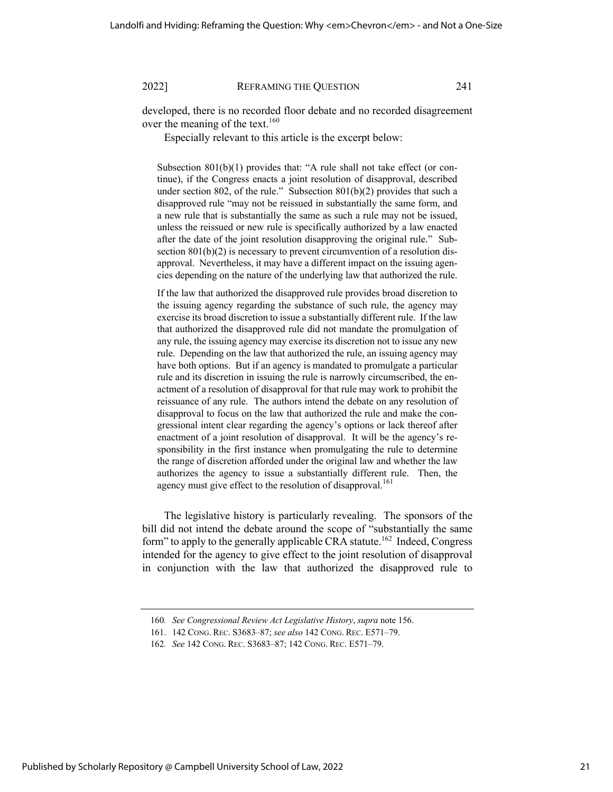developed, there is no recorded floor debate and no recorded disagreement over the meaning of the text.<sup>160</sup>

Especially relevant to this article is the excerpt below:

Subsection 801(b)(1) provides that: "A rule shall not take effect (or continue), if the Congress enacts a joint resolution of disapproval, described under section 802, of the rule." Subsection 801(b)(2) provides that such a disapproved rule "may not be reissued in substantially the same form, and a new rule that is substantially the same as such a rule may not be issued, unless the reissued or new rule is specifically authorized by a law enacted after the date of the joint resolution disapproving the original rule." Subsection 801(b)(2) is necessary to prevent circumvention of a resolution disapproval. Nevertheless, it may have a different impact on the issuing agencies depending on the nature of the underlying law that authorized the rule.

If the law that authorized the disapproved rule provides broad discretion to the issuing agency regarding the substance of such rule, the agency may exercise its broad discretion to issue a substantially different rule. If the law that authorized the disapproved rule did not mandate the promulgation of any rule, the issuing agency may exercise its discretion not to issue any new rule. Depending on the law that authorized the rule, an issuing agency may have both options. But if an agency is mandated to promulgate a particular rule and its discretion in issuing the rule is narrowly circumscribed, the enactment of a resolution of disapproval for that rule may work to prohibit the reissuance of any rule. The authors intend the debate on any resolution of disapproval to focus on the law that authorized the rule and make the congressional intent clear regarding the agency's options or lack thereof after enactment of a joint resolution of disapproval. It will be the agency's responsibility in the first instance when promulgating the rule to determine the range of discretion afforded under the original law and whether the law authorizes the agency to issue a substantially different rule. Then, the agency must give effect to the resolution of disapproval.<sup>161</sup>

The legislative history is particularly revealing. The sponsors of the bill did not intend the debate around the scope of "substantially the same form" to apply to the generally applicable CRA statute.<sup>162</sup> Indeed, Congress intended for the agency to give effect to the joint resolution of disapproval in conjunction with the law that authorized the disapproved rule to

<sup>160</sup>*. See Congressional Review Act Legislative History*, *supra* note 156.

<sup>161.</sup> 142 CONG. REC. S3683–87; *see also* 142 CONG. REC. E571–79.

<sup>162</sup>*. See* 142 CONG. REC. S3683–87; 142 CONG. REC. E571–79.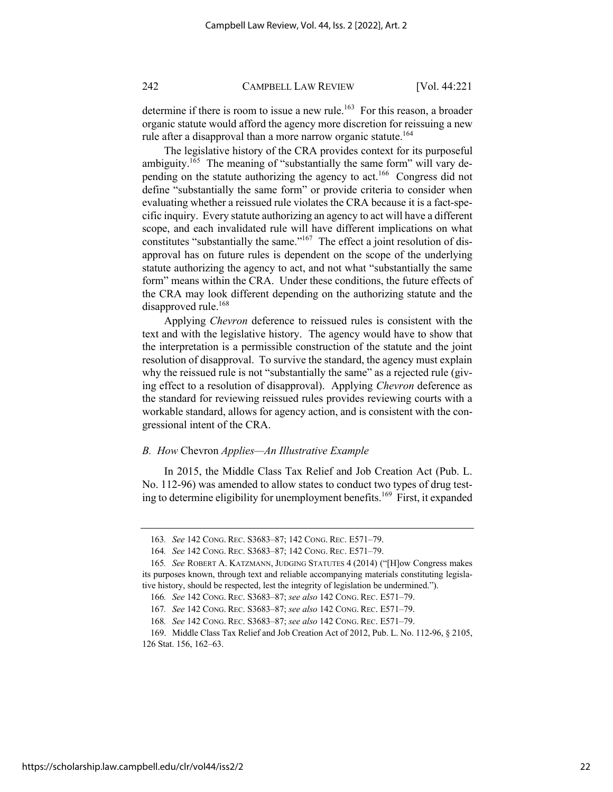determine if there is room to issue a new rule.<sup>163</sup> For this reason, a broader organic statute would afford the agency more discretion for reissuing a new rule after a disapproval than a more narrow organic statute.<sup>164</sup>

The legislative history of the CRA provides context for its purposeful ambiguity.<sup>165</sup> The meaning of "substantially the same form" will vary depending on the statute authorizing the agency to act.<sup>166</sup> Congress did not define "substantially the same form" or provide criteria to consider when evaluating whether a reissued rule violates the CRA because it is a fact-specific inquiry. Every statute authorizing an agency to act will have a different scope, and each invalidated rule will have different implications on what constitutes "substantially the same."<sup>167</sup> The effect a joint resolution of disapproval has on future rules is dependent on the scope of the underlying statute authorizing the agency to act, and not what "substantially the same form" means within the CRA. Under these conditions, the future effects of the CRA may look different depending on the authorizing statute and the disapproved rule.<sup>168</sup>

Applying *Chevron* deference to reissued rules is consistent with the text and with the legislative history. The agency would have to show that the interpretation is a permissible construction of the statute and the joint resolution of disapproval. To survive the standard, the agency must explain why the reissued rule is not "substantially the same" as a rejected rule (giving effect to a resolution of disapproval). Applying *Chevron* deference as the standard for reviewing reissued rules provides reviewing courts with a workable standard, allows for agency action, and is consistent with the congressional intent of the CRA.

# *B. How* Chevron *Applies—An Illustrative Example*

In 2015, the Middle Class Tax Relief and Job Creation Act (Pub. L. No. 112-96) was amended to allow states to conduct two types of drug testing to determine eligibility for unemployment benefits.<sup>169</sup> First, it expanded

<sup>163</sup>*. See* 142 CONG. REC. S3683–87; 142 CONG. REC. E571–79.

<sup>164</sup>*. See* 142 CONG. REC. S3683–87; 142 CONG. REC. E571–79.

<sup>165</sup>*. See* ROBERT A. KATZMANN, JUDGING STATUTES 4 (2014) ("[H]ow Congress makes its purposes known, through text and reliable accompanying materials constituting legislative history, should be respected, lest the integrity of legislation be undermined.").

<sup>166</sup>*. See* 142 CONG. REC. S3683–87; *see also* 142 CONG. REC. E571–79.

<sup>167</sup>*. See* 142 CONG. REC. S3683–87; *see also* 142 CONG. REC. E571–79.

<sup>168</sup>*. See* 142 CONG. REC. S3683–87; *see also* 142 CONG. REC. E571–79.

<sup>169.</sup> Middle Class Tax Relief and Job Creation Act of 2012, Pub. L. No. 112-96, § 2105, 126 Stat. 156, 162–63.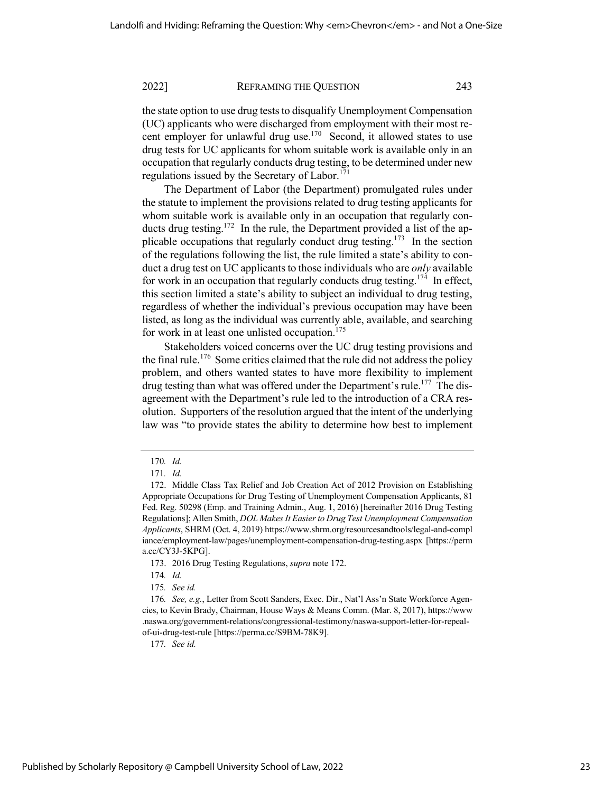the state option to use drug tests to disqualify Unemployment Compensation (UC) applicants who were discharged from employment with their most recent employer for unlawful drug use.<sup>170</sup> Second, it allowed states to use drug tests for UC applicants for whom suitable work is available only in an occupation that regularly conducts drug testing, to be determined under new regulations issued by the Secretary of Labor. $171$ 

The Department of Labor (the Department) promulgated rules under the statute to implement the provisions related to drug testing applicants for whom suitable work is available only in an occupation that regularly conducts drug testing.<sup>172</sup> In the rule, the Department provided a list of the applicable occupations that regularly conduct drug testing.<sup>173</sup> In the section of the regulations following the list, the rule limited a state's ability to conduct a drug test on UC applicants to those individuals who are *only* available for work in an occupation that regularly conducts drug testing.<sup>174</sup> In effect, this section limited a state's ability to subject an individual to drug testing, regardless of whether the individual's previous occupation may have been listed, as long as the individual was currently able, available, and searching for work in at least one unlisted occupation. $175$ 

Stakeholders voiced concerns over the UC drug testing provisions and the final rule.<sup>176</sup> Some critics claimed that the rule did not address the policy problem, and others wanted states to have more flexibility to implement drug testing than what was offered under the Department's rule.<sup>177</sup> The disagreement with the Department's rule led to the introduction of a CRA resolution. Supporters of the resolution argued that the intent of the underlying law was "to provide states the ability to determine how best to implement

<sup>170</sup>*. Id.*

<sup>171</sup>*. Id.* 

<sup>172.</sup> Middle Class Tax Relief and Job Creation Act of 2012 Provision on Establishing Appropriate Occupations for Drug Testing of Unemployment Compensation Applicants, 81 Fed. Reg. 50298 (Emp. and Training Admin., Aug. 1, 2016) [hereinafter 2016 Drug Testing Regulations]; Allen Smith, *DOL Makes It Easier to Drug Test Unemployment Compensation Applicants*, SHRM (Oct. 4, 2019) https://www.shrm.org/resourcesandtools/legal-and-compl iance/employment-law/pages/unemployment-compensation-drug-testing.aspx [https://perm a.cc/CY3J-5KPG].

<sup>173.</sup> 2016 Drug Testing Regulations, *supra* note 172.

<sup>174</sup>*. Id.*

<sup>175</sup>*. See id.*

<sup>176</sup>*. See, e.g.*, Letter from Scott Sanders, Exec. Dir., Nat'l Ass'n State Workforce Agencies, to Kevin Brady, Chairman, House Ways & Means Comm. (Mar. 8, 2017), https://www .naswa.org/government-relations/congressional-testimony/naswa-support-letter-for-repealof-ui-drug-test-rule [https://perma.cc/S9BM-78K9].

<sup>177</sup>*. See id.*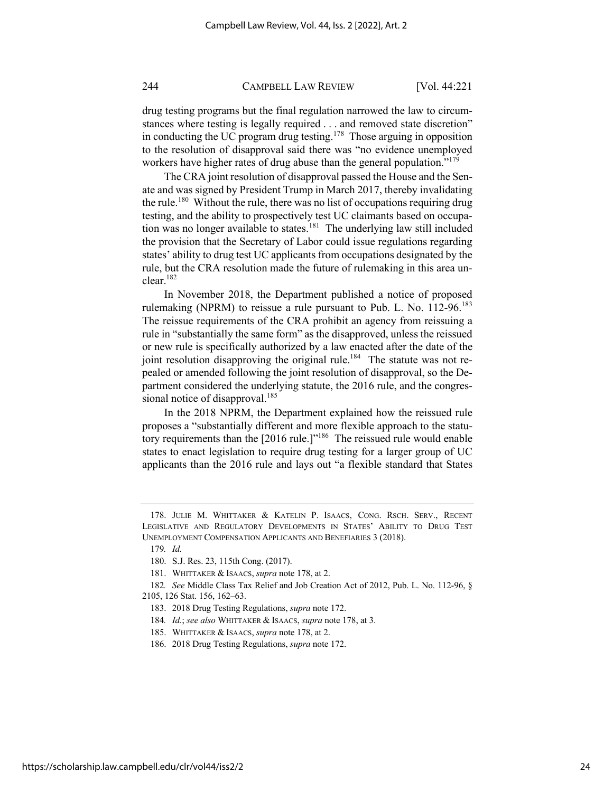drug testing programs but the final regulation narrowed the law to circumstances where testing is legally required . . . and removed state discretion" in conducting the UC program drug testing.178 Those arguing in opposition to the resolution of disapproval said there was "no evidence unemployed workers have higher rates of drug abuse than the general population."<sup>179</sup>

The CRA joint resolution of disapproval passed the House and the Senate and was signed by President Trump in March 2017, thereby invalidating the rule.<sup>180</sup> Without the rule, there was no list of occupations requiring drug testing, and the ability to prospectively test UC claimants based on occupation was no longer available to states.<sup>181</sup> The underlying law still included the provision that the Secretary of Labor could issue regulations regarding states' ability to drug test UC applicants from occupations designated by the rule, but the CRA resolution made the future of rulemaking in this area unclear.182

In November 2018, the Department published a notice of proposed rulemaking (NPRM) to reissue a rule pursuant to Pub. L. No. 112-96.<sup>183</sup> The reissue requirements of the CRA prohibit an agency from reissuing a rule in "substantially the same form" as the disapproved, unless the reissued or new rule is specifically authorized by a law enacted after the date of the joint resolution disapproving the original rule.<sup>184</sup> The statute was not repealed or amended following the joint resolution of disapproval, so the Department considered the underlying statute, the 2016 rule, and the congressional notice of disapproval.<sup>185</sup>

In the 2018 NPRM, the Department explained how the reissued rule proposes a "substantially different and more flexible approach to the statutory requirements than the [2016 rule.]"<sup>186</sup> The reissued rule would enable states to enact legislation to require drug testing for a larger group of UC applicants than the 2016 rule and lays out "a flexible standard that States

<sup>178.</sup> JULIE M. WHITTAKER & KATELIN P. ISAACS, CONG. RSCH. SERV., RECENT LEGISLATIVE AND REGULATORY DEVELOPMENTS IN STATES' ABILITY TO DRUG TEST UNEMPLOYMENT COMPENSATION APPLICANTS AND BENEFIARIES 3 (2018).

<sup>179</sup>*. Id.*

<sup>180.</sup> S.J. Res. 23, 115th Cong. (2017).

<sup>181.</sup> WHITTAKER & ISAACS, *supra* note 178, at 2.

<sup>182</sup>*. See* Middle Class Tax Relief and Job Creation Act of 2012, Pub. L. No. 112-96, § 2105, 126 Stat. 156, 162–63.

<sup>183.</sup> 2018 Drug Testing Regulations, *supra* note 172.

<sup>184</sup>*. Id.*; *see also* WHITTAKER & ISAACS, *supra* note 178, at 3.

<sup>185.</sup> WHITTAKER & ISAACS, *supra* note 178, at 2.

<sup>186.</sup> 2018 Drug Testing Regulations, *supra* note 172.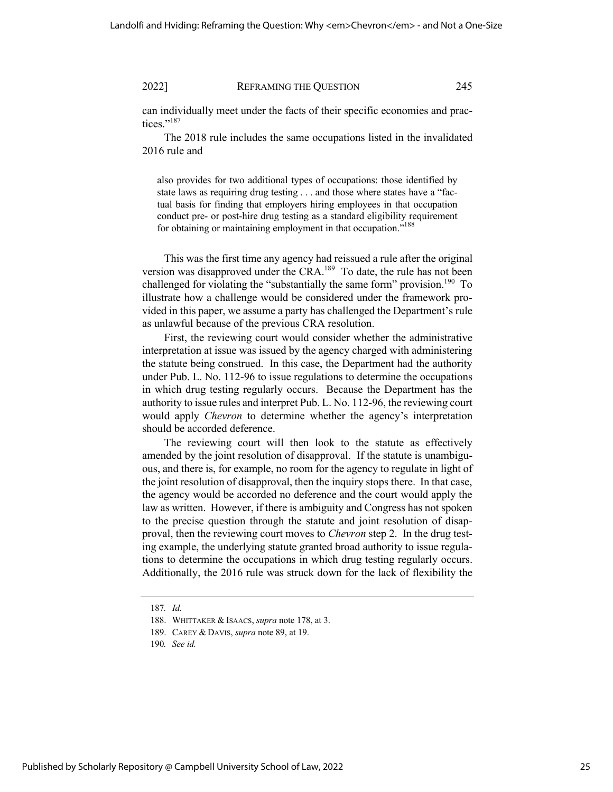can individually meet under the facts of their specific economies and practices."<sup>187</sup>

The 2018 rule includes the same occupations listed in the invalidated 2016 rule and

also provides for two additional types of occupations: those identified by state laws as requiring drug testing . . . and those where states have a "factual basis for finding that employers hiring employees in that occupation conduct pre- or post-hire drug testing as a standard eligibility requirement for obtaining or maintaining employment in that occupation."<sup>188</sup>

This was the first time any agency had reissued a rule after the original version was disapproved under the CRA.<sup>189</sup> To date, the rule has not been challenged for violating the "substantially the same form" provision.<sup>190</sup> To illustrate how a challenge would be considered under the framework provided in this paper, we assume a party has challenged the Department's rule as unlawful because of the previous CRA resolution.

First, the reviewing court would consider whether the administrative interpretation at issue was issued by the agency charged with administering the statute being construed. In this case, the Department had the authority under Pub. L. No. 112-96 to issue regulations to determine the occupations in which drug testing regularly occurs. Because the Department has the authority to issue rules and interpret Pub. L. No. 112-96, the reviewing court would apply *Chevron* to determine whether the agency's interpretation should be accorded deference.

The reviewing court will then look to the statute as effectively amended by the joint resolution of disapproval. If the statute is unambiguous, and there is, for example, no room for the agency to regulate in light of the joint resolution of disapproval, then the inquiry stops there. In that case, the agency would be accorded no deference and the court would apply the law as written. However, if there is ambiguity and Congress has not spoken to the precise question through the statute and joint resolution of disapproval, then the reviewing court moves to *Chevron* step 2. In the drug testing example, the underlying statute granted broad authority to issue regulations to determine the occupations in which drug testing regularly occurs. Additionally, the 2016 rule was struck down for the lack of flexibility the

<sup>187</sup>*. Id.*

<sup>188.</sup> WHITTAKER & ISAACS, *supra* note 178, at 3.

<sup>189.</sup> CAREY & DAVIS, *supra* note 89, at 19.

<sup>190</sup>*. See id.*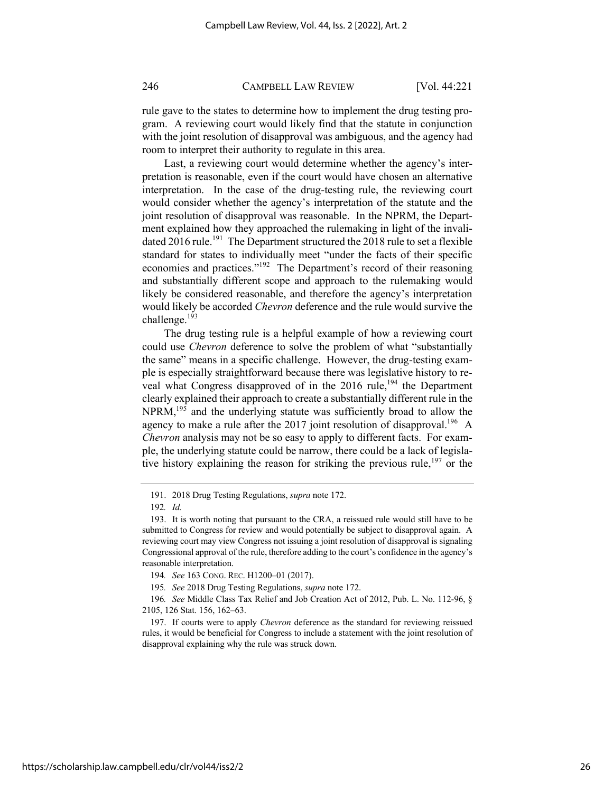rule gave to the states to determine how to implement the drug testing program. A reviewing court would likely find that the statute in conjunction with the joint resolution of disapproval was ambiguous, and the agency had room to interpret their authority to regulate in this area.

Last, a reviewing court would determine whether the agency's interpretation is reasonable, even if the court would have chosen an alternative interpretation. In the case of the drug-testing rule, the reviewing court would consider whether the agency's interpretation of the statute and the joint resolution of disapproval was reasonable. In the NPRM, the Department explained how they approached the rulemaking in light of the invalidated 2016 rule.<sup>191</sup> The Department structured the 2018 rule to set a flexible standard for states to individually meet "under the facts of their specific economies and practices."<sup>192</sup> The Department's record of their reasoning and substantially different scope and approach to the rulemaking would likely be considered reasonable, and therefore the agency's interpretation would likely be accorded *Chevron* deference and the rule would survive the challenge.<sup>193</sup>

The drug testing rule is a helpful example of how a reviewing court could use *Chevron* deference to solve the problem of what "substantially the same" means in a specific challenge. However, the drug-testing example is especially straightforward because there was legislative history to reveal what Congress disapproved of in the  $2016$  rule,<sup>194</sup> the Department clearly explained their approach to create a substantially different rule in the NPRM,<sup>195</sup> and the underlying statute was sufficiently broad to allow the agency to make a rule after the 2017 joint resolution of disapproval.<sup>196</sup> A *Chevron* analysis may not be so easy to apply to different facts. For example, the underlying statute could be narrow, there could be a lack of legislative history explaining the reason for striking the previous rule,  $197$  or the

<sup>191.</sup> 2018 Drug Testing Regulations, *supra* note 172.

<sup>192</sup>*. Id.* 

<sup>193.</sup> It is worth noting that pursuant to the CRA, a reissued rule would still have to be submitted to Congress for review and would potentially be subject to disapproval again. A reviewing court may view Congress not issuing a joint resolution of disapproval is signaling Congressional approval of the rule, therefore adding to the court's confidence in the agency's reasonable interpretation.

<sup>194</sup>*. See* 163 CONG. REC. H1200–01 (2017).

<sup>195</sup>*. See* 2018 Drug Testing Regulations, *supra* note 172.

<sup>196</sup>*. See* Middle Class Tax Relief and Job Creation Act of 2012, Pub. L. No. 112-96, § 2105, 126 Stat. 156, 162–63.

<sup>197.</sup> If courts were to apply *Chevron* deference as the standard for reviewing reissued rules, it would be beneficial for Congress to include a statement with the joint resolution of disapproval explaining why the rule was struck down.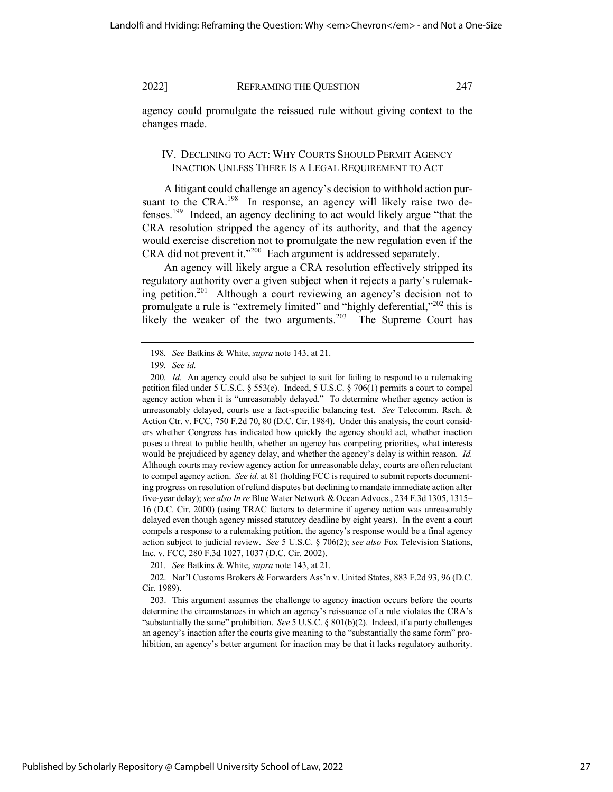agency could promulgate the reissued rule without giving context to the changes made.

# IV. DECLINING TO ACT: WHY COURTS SHOULD PERMIT AGENCY INACTION UNLESS THERE IS A LEGAL REQUIREMENT TO ACT

A litigant could challenge an agency's decision to withhold action pursuant to the CRA.<sup>198</sup> In response, an agency will likely raise two defenses.199 Indeed, an agency declining to act would likely argue "that the CRA resolution stripped the agency of its authority, and that the agency would exercise discretion not to promulgate the new regulation even if the CRA did not prevent it."<sup>200</sup> Each argument is addressed separately.

An agency will likely argue a CRA resolution effectively stripped its regulatory authority over a given subject when it rejects a party's rulemaking petition.<sup>201</sup> Although a court reviewing an agency's decision not to promulgate a rule is "extremely limited" and "highly deferential,"<sup>202</sup> this is likely the weaker of the two arguments.<sup>203</sup> The Supreme Court has

<sup>198</sup>*. See* Batkins & White, *supra* note 143, at 21.

<sup>199</sup>*. See id.*

<sup>200</sup>*. Id.* An agency could also be subject to suit for failing to respond to a rulemaking petition filed under 5 U.S.C. § 553(e). Indeed, 5 U.S.C. § 706(1) permits a court to compel agency action when it is "unreasonably delayed." To determine whether agency action is unreasonably delayed, courts use a fact-specific balancing test. *See* Telecomm. Rsch. & Action Ctr. v. FCC, 750 F.2d 70, 80 (D.C. Cir. 1984). Under this analysis, the court considers whether Congress has indicated how quickly the agency should act, whether inaction poses a threat to public health, whether an agency has competing priorities, what interests would be prejudiced by agency delay, and whether the agency's delay is within reason. *Id.*  Although courts may review agency action for unreasonable delay, courts are often reluctant to compel agency action. *See id.* at 81 (holding FCC is required to submit reports documenting progress on resolution of refund disputes but declining to mandate immediate action after five-year delay); *see also In re* Blue Water Network & Ocean Advocs., 234 F.3d 1305, 1315– 16 (D.C. Cir. 2000) (using TRAC factors to determine if agency action was unreasonably delayed even though agency missed statutory deadline by eight years). In the event a court compels a response to a rulemaking petition, the agency's response would be a final agency action subject to judicial review. *See* 5 U.S.C. § 706(2); *see also* Fox Television Stations, Inc. v. FCC, 280 F.3d 1027, 1037 (D.C. Cir. 2002).

<sup>201</sup>*. See* Batkins & White, *supra* note 143, at 21*.*

<sup>202.</sup> Nat'l Customs Brokers & Forwarders Ass'n v. United States, 883 F.2d 93, 96 (D.C. Cir. 1989).

<sup>203.</sup> This argument assumes the challenge to agency inaction occurs before the courts determine the circumstances in which an agency's reissuance of a rule violates the CRA's "substantially the same" prohibition. *See* 5 U.S.C. § 801(b)(2). Indeed, if a party challenges an agency's inaction after the courts give meaning to the "substantially the same form" prohibition, an agency's better argument for inaction may be that it lacks regulatory authority.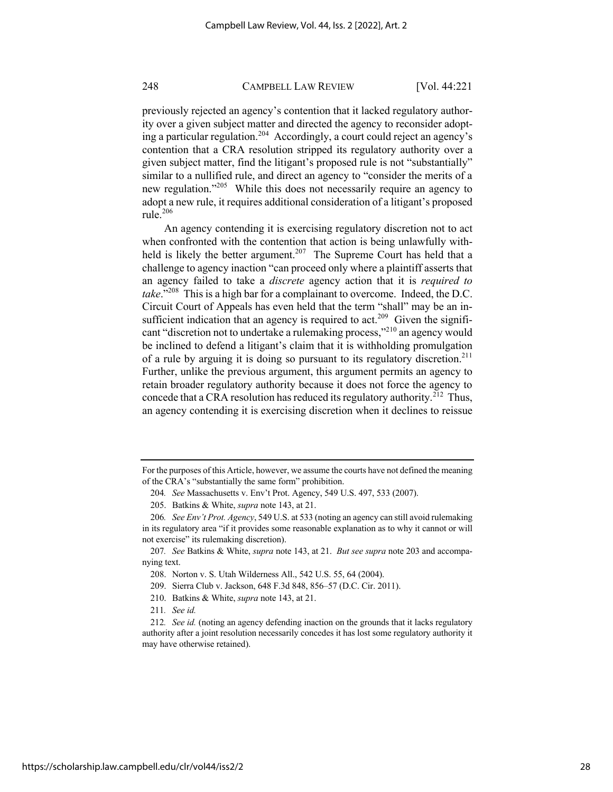previously rejected an agency's contention that it lacked regulatory authority over a given subject matter and directed the agency to reconsider adopting a particular regulation.<sup>204</sup> Accordingly, a court could reject an agency's contention that a CRA resolution stripped its regulatory authority over a given subject matter, find the litigant's proposed rule is not "substantially" similar to a nullified rule, and direct an agency to "consider the merits of a new regulation."<sup>205</sup> While this does not necessarily require an agency to adopt a new rule, it requires additional consideration of a litigant's proposed rule.<sup>206</sup>

An agency contending it is exercising regulatory discretion not to act when confronted with the contention that action is being unlawfully withheld is likely the better argument.<sup>207</sup> The Supreme Court has held that a challenge to agency inaction "can proceed only where a plaintiff asserts that an agency failed to take a *discrete* agency action that it is *required to take*."208 This is a high bar for a complainant to overcome. Indeed, the D.C. Circuit Court of Appeals has even held that the term "shall" may be an insufficient indication that an agency is required to act.<sup>209</sup> Given the significant "discretion not to undertake a rulemaking process,"210 an agency would be inclined to defend a litigant's claim that it is withholding promulgation of a rule by arguing it is doing so pursuant to its regulatory discretion.<sup>211</sup> Further, unlike the previous argument, this argument permits an agency to retain broader regulatory authority because it does not force the agency to concede that a CRA resolution has reduced its regulatory authority.<sup>212</sup> Thus, an agency contending it is exercising discretion when it declines to reissue

For the purposes of this Article, however, we assume the courts have not defined the meaning of the CRA's "substantially the same form" prohibition.

<sup>204</sup>*. See* Massachusetts v. Env't Prot. Agency, 549 U.S. 497, 533 (2007).

<sup>205.</sup> Batkins & White, *supra* note 143, at 21.

<sup>206</sup>*. See Env't Prot. Agency*, 549 U.S. at 533 (noting an agency can still avoid rulemaking in its regulatory area "if it provides some reasonable explanation as to why it cannot or will not exercise" its rulemaking discretion).

<sup>207</sup>*. See* Batkins & White, *supra* note 143, at 21. *But see supra* note 203 and accompanying text.

<sup>208.</sup> Norton v. S. Utah Wilderness All., 542 U.S. 55, 64 (2004).

<sup>209.</sup> Sierra Club v. Jackson, 648 F.3d 848, 856–57 (D.C. Cir. 2011).

<sup>210.</sup> Batkins & White, *supra* note 143, at 21.

<sup>211</sup>*. See id.*

<sup>212</sup>*. See id.* (noting an agency defending inaction on the grounds that it lacks regulatory authority after a joint resolution necessarily concedes it has lost some regulatory authority it may have otherwise retained).